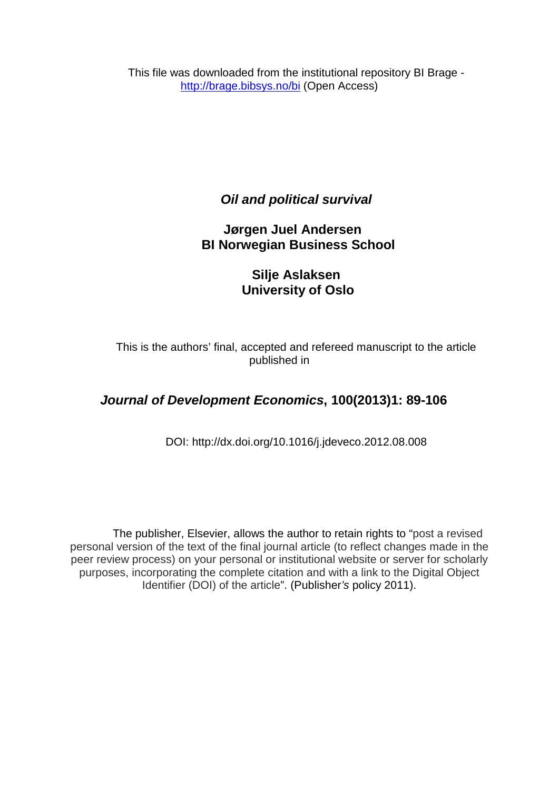This file was downloaded from the institutional repository BI Brage <http://brage.bibsys.no/bi> (Open Access)

*Oil and political survival*

 **Jørgen Juel Andersen BI Norwegian Business School**

> **Silje Aslaksen University of Oslo**

This is the authors' final, accepted and refereed manuscript to the article published in

# *Journal of Development Economics***, 100(2013)1: 89-106**

DOI: http://dx.doi.org[/10.1016/j.jdeveco.2012.08.008](http://dx.doi.org/10.1016/j.jdeveco.2012.08.008)

The publisher, Elsevier, allows the author to retain rights to "post a revised personal version of the text of the final journal article (to reflect changes made in the peer review process) on your personal or institutional website or server for scholarly purposes, incorporating the complete citation and with a link to the Digital Object Identifier (DOI) of the article". (Publisher*'s* policy 2011).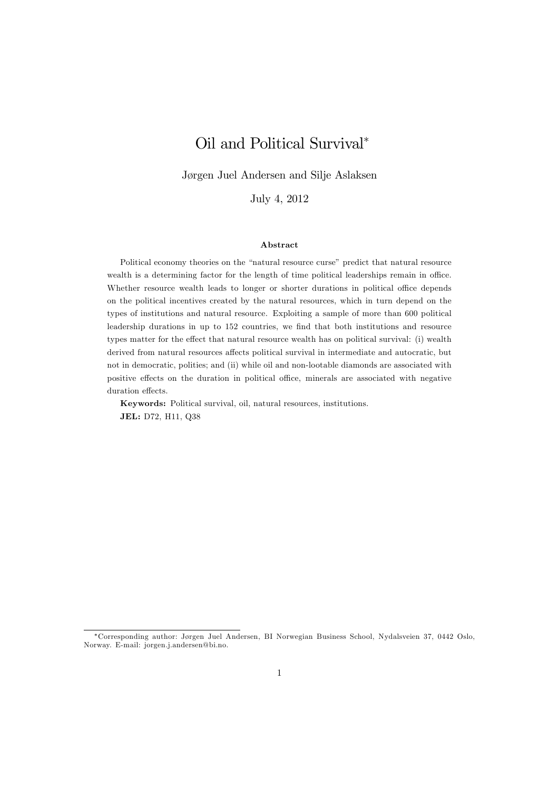# Oil and Political Survival

Jørgen Juel Andersen and Silje Aslaksen

July 4, 2012

#### Abstract

Political economy theories on the "natural resource curse" predict that natural resource wealth is a determining factor for the length of time political leaderships remain in office. Whether resource wealth leads to longer or shorter durations in political office depends on the political incentives created by the natural resources, which in turn depend on the types of institutions and natural resource. Exploiting a sample of more than 600 political leadership durations in up to 152 countries, we find that both institutions and resource types matter for the effect that natural resource wealth has on political survival: (i) wealth derived from natural resources affects political survival in intermediate and autocratic, but not in democratic, polities; and (ii) while oil and non-lootable diamonds are associated with positive effects on the duration in political office, minerals are associated with negative duration effects.

Keywords: Political survival, oil, natural resources, institutions. JEL: D72, H11, Q38

Corresponding author: J¯rgen Juel Andersen, BI Norwegian Business School, Nydalsveien 37, 0442 Oslo, Norway. E-mail: jorgen.j.andersen@bi.no.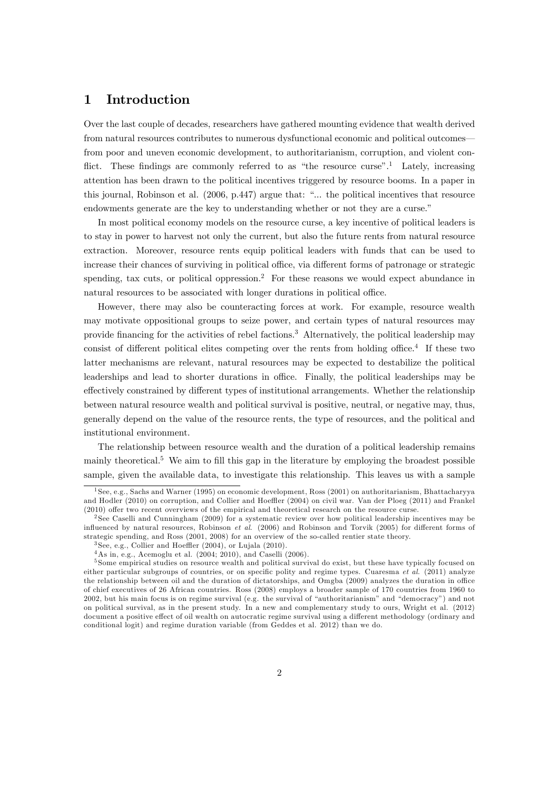# 1 Introduction

Over the last couple of decades, researchers have gathered mounting evidence that wealth derived from natural resources contributes to numerous dysfunctional economic and political outcomes from poor and uneven economic development, to authoritarianism, corruption, and violent conflict. These findings are commonly referred to as "the resource curse".<sup>1</sup> Lately, increasing attention has been drawn to the political incentives triggered by resource booms. In a paper in this journal, Robinson et al.  $(2006, p.447)$  argue that: "... the political incentives that resource endowments generate are the key to understanding whether or not they are a curse."

In most political economy models on the resource curse, a key incentive of political leaders is to stay in power to harvest not only the current, but also the future rents from natural resource extraction. Moreover, resource rents equip political leaders with funds that can be used to increase their chances of surviving in political office, via different forms of patronage or strategic spending, tax cuts, or political oppression.<sup>2</sup> For these reasons we would expect abundance in natural resources to be associated with longer durations in political office.

However, there may also be counteracting forces at work. For example, resource wealth may motivate oppositional groups to seize power, and certain types of natural resources may provide Önancing for the activities of rebel factions.<sup>3</sup> Alternatively, the political leadership may consist of different political elites competing over the rents from holding office.<sup>4</sup> If these two latter mechanisms are relevant, natural resources may be expected to destabilize the political leaderships and lead to shorter durations in office. Finally, the political leaderships may be effectively constrained by different types of institutional arrangements. Whether the relationship between natural resource wealth and political survival is positive, neutral, or negative may, thus, generally depend on the value of the resource rents, the type of resources, and the political and institutional environment.

The relationship between resource wealth and the duration of a political leadership remains mainly theoretical.<sup>5</sup> We aim to fill this gap in the literature by employing the broadest possible sample, given the available data, to investigate this relationship. This leaves us with a sample

<sup>1</sup> See, e.g., Sachs and Warner (1995) on economic development, Ross (2001) on authoritarianism, Bhattacharyya and Hodler (2010) on corruption, and Collier and Hoeffler (2004) on civil war. Van der Ploeg (2011) and Frankel (2010) offer two recent overviews of the empirical and theoretical research on the resource curse.

<sup>2</sup> See Caselli and Cunningham (2009) for a systematic review over how political leadership incentives may be influenced by natural resources, Robinson et al. (2006) and Robinson and Torvik (2005) for different forms of strategic spending, and Ross (2001, 2008) for an overview of the so-called rentier state theory.

 $3$  See, e.g., Collier and Hoeffler (2004), or Lujala (2010).

 $4$ As in, e.g., Acemoglu et al.  $(2004, 2010)$ , and Caselli  $(2006)$ .

<sup>5</sup> Some empirical studies on resource wealth and political survival do exist, but these have typically focused on either particular subgroups of countries, or on specific polity and regime types. Cuaresma et al.  $(2011)$  analyze the relationship between oil and the duration of dictatorships, and Omgba (2009) analyzes the duration in office of chief executives of 26 African countries. Ross (2008) employs a broader sample of 170 countries from 1960 to 2002, but his main focus is on regime survival (e.g. the survival of "authoritarianism" and "democracy") and not on political survival, as in the present study. In a new and complementary study to ours, Wright et al. (2012) document a positive effect of oil wealth on autocratic regime survival using a different methodology (ordinary and conditional logit) and regime duration variable (from Geddes et al. 2012) than we do.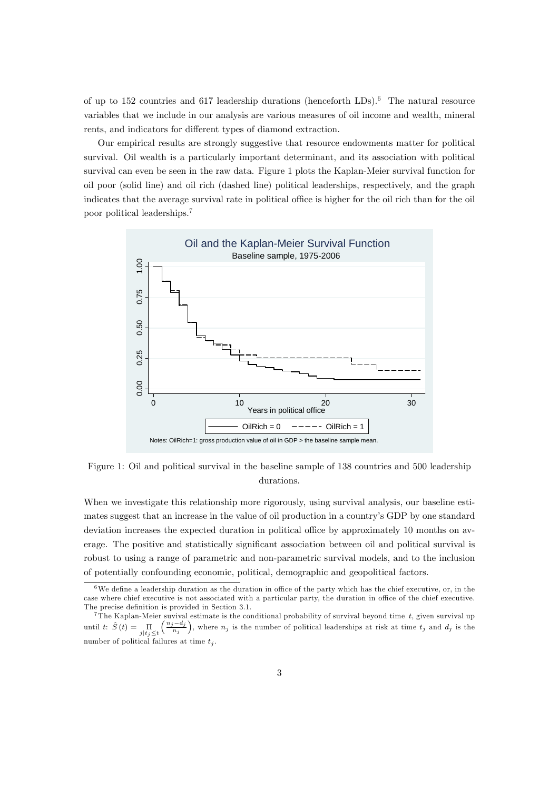of up to 152 countries and 617 leadership durations (henceforth LDs).<sup>6</sup> The natural resource variables that we include in our analysis are various measures of oil income and wealth, mineral rents, and indicators for different types of diamond extraction.

Our empirical results are strongly suggestive that resource endowments matter for political survival. Oil wealth is a particularly important determinant, and its association with political survival can even be seen in the raw data. Figure 1 plots the Kaplan-Meier survival function for oil poor (solid line) and oil rich (dashed line) political leaderships, respectively, and the graph indicates that the average survival rate in political office is higher for the oil rich than for the oil poor political leaderships.<sup>7</sup>



Figure 1: Oil and political survival in the baseline sample of 138 countries and 500 leadership durations.

When we investigate this relationship more rigorously, using survival analysis, our baseline estimates suggest that an increase in the value of oil production in a countryís GDP by one standard deviation increases the expected duration in political office by approximately 10 months on average. The positive and statistically significant association between oil and political survival is robust to using a range of parametric and non-parametric survival models, and to the inclusion of potentially confounding economic, political, demographic and geopolitical factors.

 $6$ We define a leadership duration as the duration in office of the party which has the chief executive, or, in the case where chief executive is not associated with a particular party, the duration in office of the chief executive. The precise definition is provided in Section 3.1.<br>
<sup>7</sup>The Kaplan-Meier suvival estimate is the conditional probability of survival beyond time t, given survival up

<sup>&</sup>lt;sup>7</sup>The Kaplan-Meier suvival estimate is the conditional probability of survival beyond time  $t$ , given survival up until  $t: \hat{S} (t) = \prod_{j \mid t_j \leq t}$  $\left(\frac{n_j-d_j}{n_j}\right)$ ), where  $n_j$  is the number of political leaderships at risk at time  $t_j$  and  $d_j$  is the number of political failures at time  $t_i$ .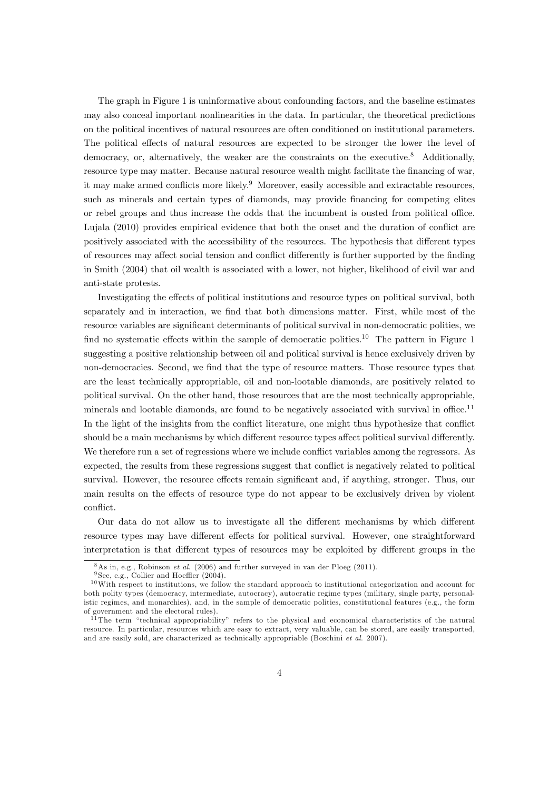The graph in Figure 1 is uninformative about confounding factors, and the baseline estimates may also conceal important nonlinearities in the data. In particular, the theoretical predictions on the political incentives of natural resources are often conditioned on institutional parameters. The political effects of natural resources are expected to be stronger the lower the level of democracy, or, alternatively, the weaker are the constraints on the executive.<sup>8</sup> Additionally, resource type may matter. Because natural resource wealth might facilitate the financing of war, it may make armed conflicts more likely.<sup>9</sup> Moreover, easily accessible and extractable resources, such as minerals and certain types of diamonds, may provide financing for competing elites or rebel groups and thus increase the odds that the incumbent is ousted from political office. Lujala (2010) provides empirical evidence that both the onset and the duration of conflict are positively associated with the accessibility of the resources. The hypothesis that different types of resources may affect social tension and conflict differently is further supported by the finding in Smith (2004) that oil wealth is associated with a lower, not higher, likelihood of civil war and anti-state protests.

Investigating the effects of political institutions and resource types on political survival, both separately and in interaction, we find that both dimensions matter. First, while most of the resource variables are significant determinants of political survival in non-democratic polities, we find no systematic effects within the sample of democratic polities.<sup>10</sup> The pattern in Figure 1 suggesting a positive relationship between oil and political survival is hence exclusively driven by non-democracies. Second, we find that the type of resource matters. Those resource types that are the least technically appropriable, oil and non-lootable diamonds, are positively related to political survival. On the other hand, those resources that are the most technically appropriable, minerals and lootable diamonds, are found to be negatively associated with survival in office.<sup>11</sup> In the light of the insights from the conflict literature, one might thus hypothesize that conflict should be a main mechanisms by which different resource types affect political survival differently. We therefore run a set of regressions where we include conflict variables among the regressors. As expected, the results from these regressions suggest that conflict is negatively related to political survival. However, the resource effects remain significant and, if anything, stronger. Thus, our main results on the effects of resource type do not appear to be exclusively driven by violent conflict.

Our data do not allow us to investigate all the different mechanisms by which different resource types may have different effects for political survival. However, one straightforward interpretation is that different types of resources may be exploited by different groups in the

 $8$ As in, e.g., Robinson *et al.* (2006) and further surveyed in van der Ploeg (2011).

 $9$  See, e.g., Collier and Hoeffler (2004).

 $10$  With respect to institutions, we follow the standard approach to institutional categorization and account for both polity types (democracy, intermediate, autocracy), autocratic regime types (military, single party, personalistic regimes, and monarchies), and, in the sample of democratic polities, constitutional features (e.g., the form of government and the electoral rules).

<sup>&</sup>lt;sup>11</sup> The term "technical appropriability" refers to the physical and economical characteristics of the natural resource. In particular, resources which are easy to extract, very valuable, can be stored, are easily transported, and are easily sold, are characterized as technically appropriable (Boschini et al. 2007).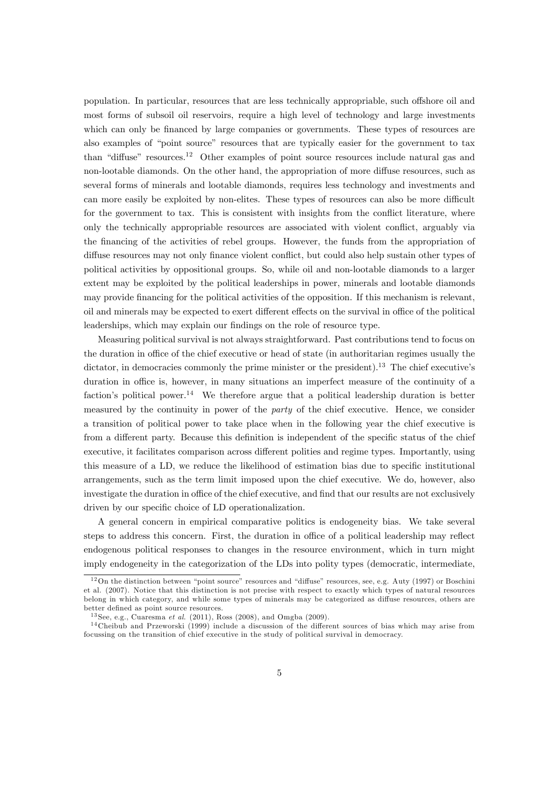population. In particular, resources that are less technically appropriable, such offshore oil and most forms of subsoil oil reservoirs, require a high level of technology and large investments which can only be financed by large companies or governments. These types of resources are also examples of "point source" resources that are typically easier for the government to tax than "diffuse" resources.<sup>12</sup> Other examples of point source resources include natural gas and non-lootable diamonds. On the other hand, the appropriation of more diffuse resources, such as several forms of minerals and lootable diamonds, requires less technology and investments and can more easily be exploited by non-elites. These types of resources can also be more difficult for the government to tax. This is consistent with insights from the conflict literature, where only the technically appropriable resources are associated with violent conflict, arguably via the financing of the activities of rebel groups. However, the funds from the appropriation of diffuse resources may not only finance violent conflict, but could also help sustain other types of political activities by oppositional groups. So, while oil and non-lootable diamonds to a larger extent may be exploited by the political leaderships in power, minerals and lootable diamonds may provide financing for the political activities of the opposition. If this mechanism is relevant, oil and minerals may be expected to exert different effects on the survival in office of the political leaderships, which may explain our findings on the role of resource type.

Measuring political survival is not always straightforward. Past contributions tend to focus on the duration in office of the chief executive or head of state (in authoritarian regimes usually the dictator, in democracies commonly the prime minister or the president).<sup>13</sup> The chief executive's duration in office is, however, in many situations an imperfect measure of the continuity of a faction's political power.<sup>14</sup> We therefore argue that a political leadership duration is better measured by the continuity in power of the party of the chief executive. Hence, we consider a transition of political power to take place when in the following year the chief executive is from a different party. Because this definition is independent of the specific status of the chief executive, it facilitates comparison across different polities and regime types. Importantly, using this measure of a LD, we reduce the likelihood of estimation bias due to specific institutional arrangements, such as the term limit imposed upon the chief executive. We do, however, also investigate the duration in office of the chief executive, and find that our results are not exclusively driven by our specific choice of LD operationalization.

A general concern in empirical comparative politics is endogeneity bias. We take several steps to address this concern. First, the duration in office of a political leadership may reflect endogenous political responses to changes in the resource environment, which in turn might imply endogeneity in the categorization of the LDs into polity types (democratic, intermediate,

 $12$ On the distinction between "point source" resources and "diffuse" resources, see, e.g. Auty (1997) or Boschini et al. (2007). Notice that this distinction is not precise with respect to exactly which types of natural resources belong in which category, and while some types of minerals may be categorized as diffuse resources, others are better defined as point source resources.

<sup>&</sup>lt;sup>13</sup> See, e.g., Cuaresma et al.  $(2011)$ , Ross  $(2008)$ , and Omgba  $(2009)$ .

 $14$  Cheibub and Przeworski (1999) include a discussion of the different sources of bias which may arise from focussing on the transition of chief executive in the study of political survival in democracy.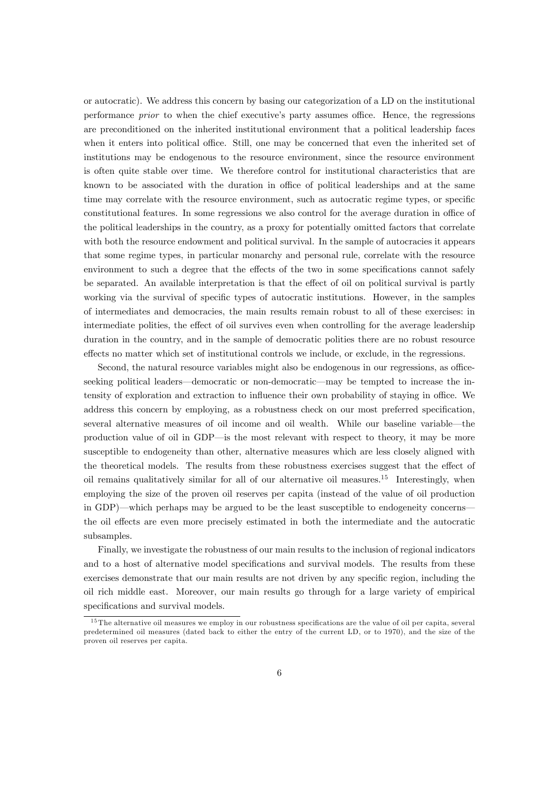or autocratic). We address this concern by basing our categorization of a LD on the institutional performance *prior* to when the chief executive's party assumes office. Hence, the regressions are preconditioned on the inherited institutional environment that a political leadership faces when it enters into political office. Still, one may be concerned that even the inherited set of institutions may be endogenous to the resource environment, since the resource environment is often quite stable over time. We therefore control for institutional characteristics that are known to be associated with the duration in office of political leaderships and at the same time may correlate with the resource environment, such as autocratic regime types, or specific constitutional features. In some regressions we also control for the average duration in office of the political leaderships in the country, as a proxy for potentially omitted factors that correlate with both the resource endowment and political survival. In the sample of autocracies it appears that some regime types, in particular monarchy and personal rule, correlate with the resource environment to such a degree that the effects of the two in some specifications cannot safely be separated. An available interpretation is that the effect of oil on political survival is partly working via the survival of specific types of autocratic institutions. However, in the samples of intermediates and democracies, the main results remain robust to all of these exercises: in intermediate polities, the effect of oil survives even when controlling for the average leadership duration in the country, and in the sample of democratic polities there are no robust resource effects no matter which set of institutional controls we include, or exclude, in the regressions.

Second, the natural resource variables might also be endogenous in our regressions, as officeseeking political leaders—democratic or non-democratic—may be tempted to increase the intensity of exploration and extraction to influence their own probability of staying in office. We address this concern by employing, as a robustness check on our most preferred specification, several alternative measures of oil income and oil wealth. While our baseline variable—the production value of oil in GDP—is the most relevant with respect to theory, it may be more susceptible to endogeneity than other, alternative measures which are less closely aligned with the theoretical models. The results from these robustness exercises suggest that the effect of oil remains qualitatively similar for all of our alternative oil measures.<sup>15</sup> Interestingly, when employing the size of the proven oil reserves per capita (instead of the value of oil production in GDP)—which perhaps may be argued to be the least susceptible to endogeneity concerns the oil effects are even more precisely estimated in both the intermediate and the autocratic subsamples.

Finally, we investigate the robustness of our main results to the inclusion of regional indicators and to a host of alternative model specifications and survival models. The results from these exercises demonstrate that our main results are not driven by any specific region, including the oil rich middle east. Moreover, our main results go through for a large variety of empirical specifications and survival models.

 $15$  The alternative oil measures we employ in our robustness specifications are the value of oil per capita, several predetermined oil measures (dated back to either the entry of the current LD, or to 1970), and the size of the proven oil reserves per capita.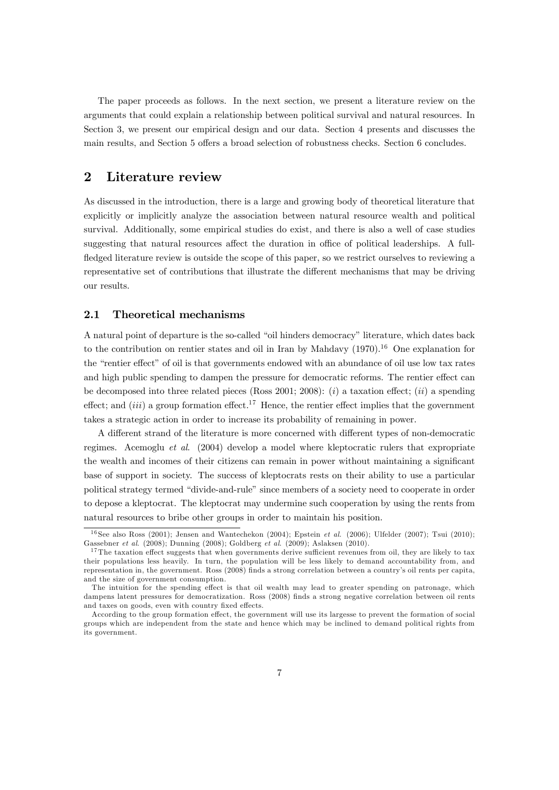The paper proceeds as follows. In the next section, we present a literature review on the arguments that could explain a relationship between political survival and natural resources. In Section 3, we present our empirical design and our data. Section 4 presents and discusses the main results, and Section 5 offers a broad selection of robustness checks. Section 6 concludes.

# 2 Literature review

As discussed in the introduction, there is a large and growing body of theoretical literature that explicitly or implicitly analyze the association between natural resource wealth and political survival. Additionally, some empirical studies do exist, and there is also a well of case studies suggesting that natural resources affect the duration in office of political leaderships. A fullfledged literature review is outside the scope of this paper, so we restrict ourselves to reviewing a representative set of contributions that illustrate the different mechanisms that may be driving our results.

#### 2.1 Theoretical mechanisms

A natural point of departure is the so-called "oil hinders democracy" literature, which dates back to the contribution on rentier states and oil in Iran by Mahdavy  $(1970)^{16}$  One explanation for the "rentier effect" of oil is that governments endowed with an abundance of oil use low tax rates and high public spending to dampen the pressure for democratic reforms. The rentier effect can be decomposed into three related pieces (Ross 2001; 2008): (i) a taxation effect; (ii) a spending effect; and (iii) a group formation effect.<sup>17</sup> Hence, the rentier effect implies that the government takes a strategic action in order to increase its probability of remaining in power.

A different strand of the literature is more concerned with different types of non-democratic regimes. Acemoglu et al. (2004) develop a model where kleptocratic rulers that expropriate the wealth and incomes of their citizens can remain in power without maintaining a significant base of support in society. The success of kleptocrats rests on their ability to use a particular political strategy termed "divide-and-rule" since members of a society need to cooperate in order to depose a kleptocrat. The kleptocrat may undermine such cooperation by using the rents from natural resources to bribe other groups in order to maintain his position.

<sup>&</sup>lt;sup>16</sup> See also Ross (2001); Jensen and Wantechekon (2004); Epstein *et al.* (2006); Ulfelder (2007); Tsui (2010); Gassebner et al. (2008); Dunning (2008); Goldberg et al. (2009); Aslaksen (2010).

 $17$  The taxation effect suggests that when governments derive sufficient revenues from oil, they are likely to tax their populations less heavily. In turn, the population will be less likely to demand accountability from, and representation in, the government. Ross (2008) Önds a strong correlation between a countryís oil rents per capita, and the size of government consumption.

The intuition for the spending effect is that oil wealth may lead to greater spending on patronage, which dampens latent pressures for democratization. Ross (2008) Önds a strong negative correlation between oil rents and taxes on goods, even with country fixed effects.

According to the group formation effect, the government will use its largesse to prevent the formation of social groups which are independent from the state and hence which may be inclined to demand political rights from its government.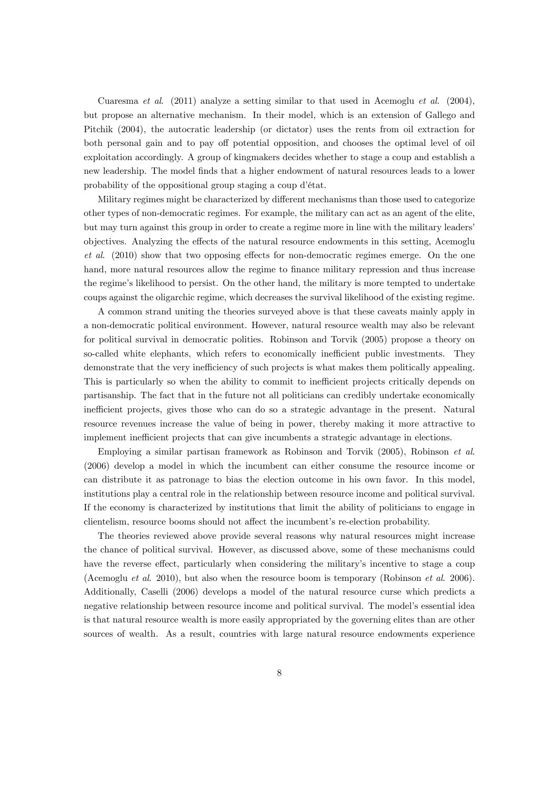Cuaresma et al.  $(2011)$  analyze a setting similar to that used in Acemoglu et al.  $(2004)$ , but propose an alternative mechanism. In their model, which is an extension of Gallego and Pitchik (2004), the autocratic leadership (or dictator) uses the rents from oil extraction for both personal gain and to pay off potential opposition, and chooses the optimal level of oil exploitation accordingly. A group of kingmakers decides whether to stage a coup and establish a new leadership. The model Önds that a higher endowment of natural resources leads to a lower probability of the oppositional group staging a coup d'état.

Military regimes might be characterized by different mechanisms than those used to categorize other types of non-democratic regimes. For example, the military can act as an agent of the elite, but may turn against this group in order to create a regime more in line with the military leaders' objectives. Analyzing the effects of the natural resource endowments in this setting, Acemoglu  $et \ al.$  (2010) show that two opposing effects for non-democratic regimes emerge. On the one hand, more natural resources allow the regime to finance military repression and thus increase the regime's likelihood to persist. On the other hand, the military is more tempted to undertake coups against the oligarchic regime, which decreases the survival likelihood of the existing regime.

A common strand uniting the theories surveyed above is that these caveats mainly apply in a non-democratic political environment. However, natural resource wealth may also be relevant for political survival in democratic polities. Robinson and Torvik (2005) propose a theory on so-called white elephants, which refers to economically inefficient public investments. They demonstrate that the very inefficiency of such projects is what makes them politically appealing. This is particularly so when the ability to commit to inefficient projects critically depends on partisanship. The fact that in the future not all politicians can credibly undertake economically inefficient projects, gives those who can do so a strategic advantage in the present. Natural resource revenues increase the value of being in power, thereby making it more attractive to implement inefficient projects that can give incumbents a strategic advantage in elections.

Employing a similar partisan framework as Robinson and Torvik (2005), Robinson et al. (2006) develop a model in which the incumbent can either consume the resource income or can distribute it as patronage to bias the election outcome in his own favor. In this model, institutions play a central role in the relationship between resource income and political survival. If the economy is characterized by institutions that limit the ability of politicians to engage in clientelism, resource booms should not affect the incumbent's re-election probability.

The theories reviewed above provide several reasons why natural resources might increase the chance of political survival. However, as discussed above, some of these mechanisms could have the reverse effect, particularly when considering the military's incentive to stage a coup (Acemoglu et al. 2010), but also when the resource boom is temporary (Robinson et al. 2006). Additionally, Caselli (2006) develops a model of the natural resource curse which predicts a negative relationship between resource income and political survival. The model's essential idea is that natural resource wealth is more easily appropriated by the governing elites than are other sources of wealth. As a result, countries with large natural resource endowments experience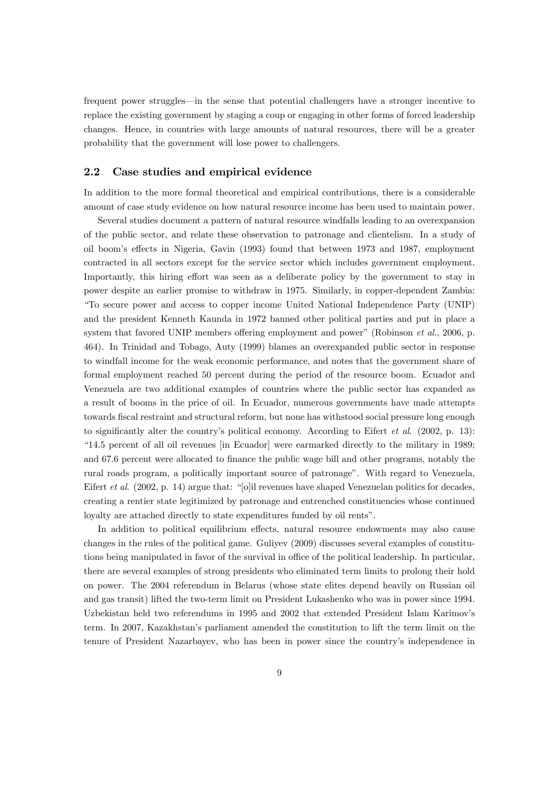frequent power struggles—in the sense that potential challengers have a stronger incentive to replace the existing government by staging a coup or engaging in other forms of forced leadership changes. Hence, in countries with large amounts of natural resources, there will be a greater probability that the government will lose power to challengers.

#### 2.2 Case studies and empirical evidence

In addition to the more formal theoretical and empirical contributions, there is a considerable amount of case study evidence on how natural resource income has been used to maintain power.

Several studies document a pattern of natural resource windfalls leading to an overexpansion of the public sector, and relate these observation to patronage and clientelism. In a study of oil boomís e§ects in Nigeria, Gavin (1993) found that between 1973 and 1987, employment contracted in all sectors except for the service sector which includes government employment. Importantly, this hiring effort was seen as a deliberate policy by the government to stay in power despite an earlier promise to withdraw in 1975. Similarly, in copper-dependent Zambia: ìTo secure power and access to copper income United National Independence Party (UNIP) and the president Kenneth Kaunda in 1972 banned other political parties and put in place a system that favored UNIP members offering employment and power" (Robinson  $et al., 2006, p.$ 464). In Trinidad and Tobago, Auty (1999) blames an overexpanded public sector in response to windfall income for the weak economic performance, and notes that the government share of formal employment reached 50 percent during the period of the resource boom. Ecuador and Venezuela are two additional examples of countries where the public sector has expanded as a result of booms in the price of oil. In Ecuador, numerous governments have made attempts towards Öscal restraint and structural reform, but none has withstood social pressure long enough to significantly alter the country's political economy. According to Eifert *et al.* (2002, p. 13): ì14.5 percent of all oil revenues [in Ecuador] were earmarked directly to the military in 1989; and 67.6 percent were allocated to finance the public wage bill and other programs, notably the rural roads program, a politically important source of patronageî. With regard to Venezuela, Eifert et al.  $(2002, p. 14)$  argue that: "[o]il revenues have shaped Venezuelan politics for decades, creating a rentier state legitimized by patronage and entrenched constituencies whose continued loyalty are attached directly to state expenditures funded by oil rents".

In addition to political equilibrium effects, natural resource endowments may also cause changes in the rules of the political game. Guliyev (2009) discusses several examples of constitutions being manipulated in favor of the survival in office of the political leadership. In particular, there are several examples of strong presidents who eliminated term limits to prolong their hold on power. The 2004 referendum in Belarus (whose state elites depend heavily on Russian oil and gas transit) lifted the two-term limit on President Lukashenko who was in power since 1994. Uzbekistan held two referendums in 1995 and 2002 that extended President Islam Karimovís term. In 2007, Kazakhstanís parliament amended the constitution to lift the term limit on the tenure of President Nazarbayev, who has been in power since the countryís independence in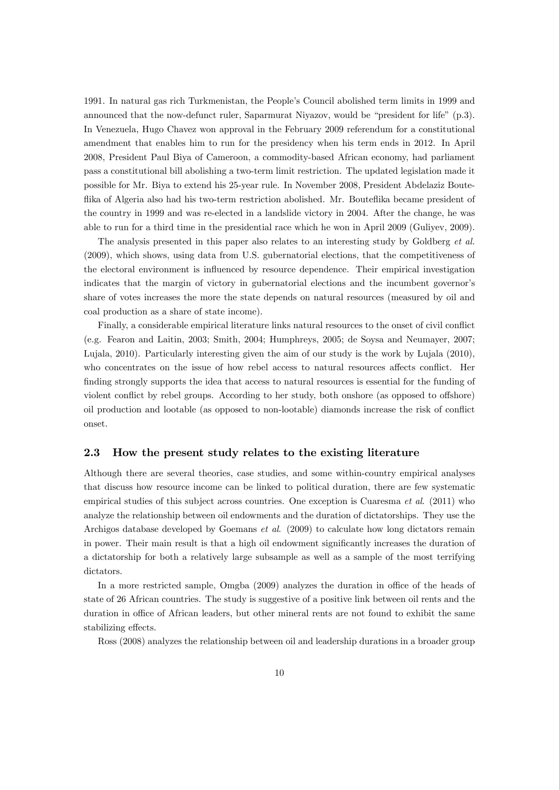1991. In natural gas rich Turkmenistan, the Peopleís Council abolished term limits in 1999 and announced that the now-defunct ruler, Saparmurat Niyazov, would be "president for life"  $(p.3)$ . In Venezuela, Hugo Chavez won approval in the February 2009 referendum for a constitutional amendment that enables him to run for the presidency when his term ends in 2012. In April 2008, President Paul Biya of Cameroon, a commodity-based African economy, had parliament pass a constitutional bill abolishing a two-term limit restriction. The updated legislation made it possible for Mr. Biya to extend his 25-year rule. In November 2008, President Abdelaziz Bouteflika of Algeria also had his two-term restriction abolished. Mr. Bouteflika became president of the country in 1999 and was re-elected in a landslide victory in 2004. After the change, he was able to run for a third time in the presidential race which he won in April 2009 (Guliyev, 2009).

The analysis presented in this paper also relates to an interesting study by Goldberg et al. (2009), which shows, using data from U.S. gubernatorial elections, that the competitiveness of the electoral environment is influenced by resource dependence. Their empirical investigation indicates that the margin of victory in gubernatorial elections and the incumbent governor's share of votes increases the more the state depends on natural resources (measured by oil and coal production as a share of state income).

Finally, a considerable empirical literature links natural resources to the onset of civil conflict (e.g. Fearon and Laitin, 2003; Smith, 2004; Humphreys, 2005; de Soysa and Neumayer, 2007; Lujala, 2010). Particularly interesting given the aim of our study is the work by Lujala (2010), who concentrates on the issue of how rebel access to natural resources affects conflict. Her finding strongly supports the idea that access to natural resources is essential for the funding of violent conflict by rebel groups. According to her study, both onshore (as opposed to offshore) oil production and lootable (as opposed to non-lootable) diamonds increase the risk of conflict onset.

#### 2.3 How the present study relates to the existing literature

Although there are several theories, case studies, and some within-country empirical analyses that discuss how resource income can be linked to political duration, there are few systematic empirical studies of this subject across countries. One exception is Cuaresma *et al.* (2011) who analyze the relationship between oil endowments and the duration of dictatorships. They use the Archigos database developed by Goemans et al. (2009) to calculate how long dictators remain in power. Their main result is that a high oil endowment significantly increases the duration of a dictatorship for both a relatively large subsample as well as a sample of the most terrifying dictators.

In a more restricted sample, Omgba (2009) analyzes the duration in office of the heads of state of 26 African countries. The study is suggestive of a positive link between oil rents and the duration in office of African leaders, but other mineral rents are not found to exhibit the same stabilizing effects.

Ross (2008) analyzes the relationship between oil and leadership durations in a broader group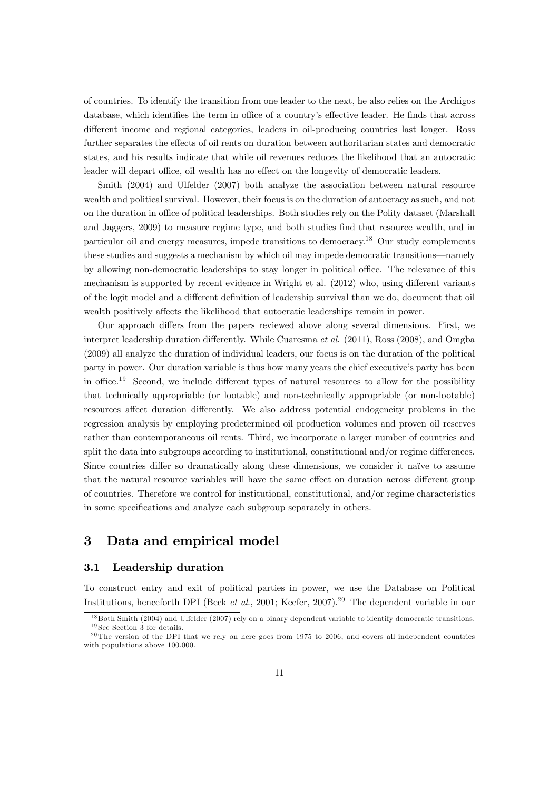of countries. To identify the transition from one leader to the next, he also relies on the Archigos database, which identifies the term in office of a country's effective leader. He finds that across different income and regional categories, leaders in oil-producing countries last longer. Ross further separates the effects of oil rents on duration between authoritarian states and democratic states, and his results indicate that while oil revenues reduces the likelihood that an autocratic leader will depart office, oil wealth has no effect on the longevity of democratic leaders.

Smith (2004) and Ulfelder (2007) both analyze the association between natural resource wealth and political survival. However, their focus is on the duration of autocracy as such, and not on the duration in office of political leaderships. Both studies rely on the Polity dataset (Marshall and Jaggers, 2009) to measure regime type, and both studies find that resource wealth, and in particular oil and energy measures, impede transitions to democracy.<sup>18</sup> Our study complements these studies and suggests a mechanism by which oil may impede democratic transitions—namely by allowing non-democratic leaderships to stay longer in political office. The relevance of this mechanism is supported by recent evidence in Wright et al.  $(2012)$  who, using different variants of the logit model and a different definition of leadership survival than we do, document that oil wealth positively affects the likelihood that autocratic leaderships remain in power.

Our approach differs from the papers reviewed above along several dimensions. First, we interpret leadership duration differently. While Cuaresma *et al.*  $(2011)$ , Ross  $(2008)$ , and Omgba (2009) all analyze the duration of individual leaders, our focus is on the duration of the political party in power. Our duration variable is thus how many years the chief executive's party has been in office.<sup>19</sup> Second, we include different types of natural resources to allow for the possibility that technically appropriable (or lootable) and non-technically appropriable (or non-lootable) resources affect duration differently. We also address potential endogeneity problems in the regression analysis by employing predetermined oil production volumes and proven oil reserves rather than contemporaneous oil rents. Third, we incorporate a larger number of countries and split the data into subgroups according to institutional, constitutional and/or regime differences. Since countries differ so dramatically along these dimensions, we consider it naïve to assume that the natural resource variables will have the same effect on duration across different group of countries. Therefore we control for institutional, constitutional, and/or regime characteristics in some specifications and analyze each subgroup separately in others.

# 3 Data and empirical model

#### 3.1 Leadership duration

To construct entry and exit of political parties in power, we use the Database on Political Institutions, henceforth DPI (Beck *et al.*, 2001; Keefer, 2007).<sup>20</sup> The dependent variable in our

<sup>&</sup>lt;sup>18</sup> Both Smith (2004) and Ulfelder (2007) rely on a binary dependent variable to identify democratic transitions.  $19$  See Section 3 for details.

 $^{20}$ The version of the DPI that we rely on here goes from 1975 to 2006, and covers all independent countries with populations above 100.000.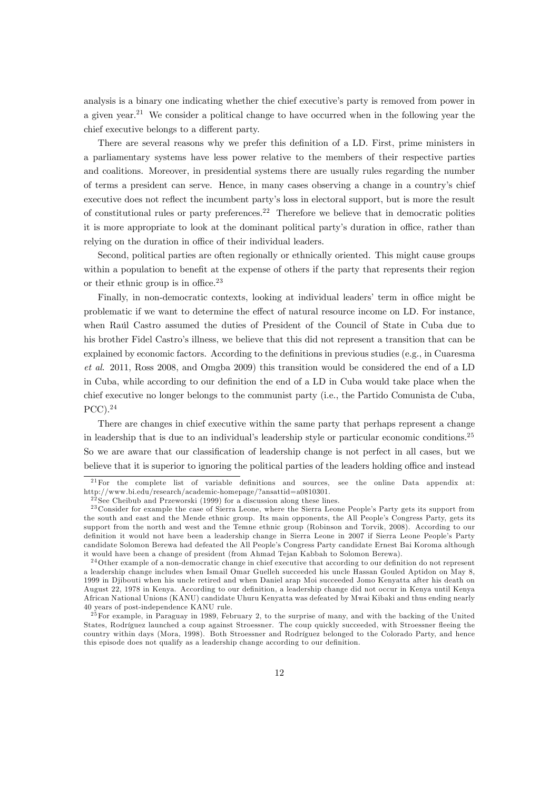analysis is a binary one indicating whether the chief executive's party is removed from power in a given year.<sup>21</sup> We consider a political change to have occurred when in the following year the chief executive belongs to a different party.

There are several reasons why we prefer this definition of a LD. First, prime ministers in a parliamentary systems have less power relative to the members of their respective parties and coalitions. Moreover, in presidential systems there are usually rules regarding the number of terms a president can serve. Hence, in many cases observing a change in a countryís chief executive does not reflect the incumbent party's loss in electoral support, but is more the result of constitutional rules or party preferences.<sup>22</sup> Therefore we believe that in democratic polities it is more appropriate to look at the dominant political party's duration in office, rather than relying on the duration in office of their individual leaders.

Second, political parties are often regionally or ethnically oriented. This might cause groups within a population to benefit at the expense of others if the party that represents their region or their ethnic group is in office. $23$ 

Finally, in non-democratic contexts, looking at individual leaders' term in office might be problematic if we want to determine the effect of natural resource income on LD. For instance, when Raúl Castro assumed the duties of President of the Council of State in Cuba due to his brother Fidel Castro's illness, we believe that this did not represent a transition that can be explained by economic factors. According to the definitions in previous studies (e.g., in Cuaresma et al. 2011, Ross 2008, and Omgba 2009) this transition would be considered the end of a LD in Cuba, while according to our definition the end of a LD in Cuba would take place when the chief executive no longer belongs to the communist party (i.e., the Partido Comunista de Cuba, PCC).<sup>24</sup>

There are changes in chief executive within the same party that perhaps represent a change in leadership that is due to an individual's leadership style or particular economic conditions.<sup>25</sup> So we are aware that our classification of leadership change is not perfect in all cases, but we believe that it is superior to ignoring the political parties of the leaders holding office and instead

 $2<sup>1</sup>F$ or the complete list of variable definitions and sources, see the online Data appendix at: http://www.bi.edu/research/academic-homepage/?ansattid=a0810301.

 $22$  See Cheibub and Przeworski (1999) for a discussion along these lines.

<sup>&</sup>lt;sup>23</sup> Consider for example the case of Sierra Leone, where the Sierra Leone People's Party gets its support from the south and east and the Mende ethnic group. Its main opponents, the All People's Congress Party, gets its support from the north and west and the Temne ethnic group (Robinson and Torvik, 2008). According to our definition it would not have been a leadership change in Sierra Leone in 2007 if Sierra Leone People's Party candidate Solomon Berewa had defeated the All Peopleís Congress Party candidate Ernest Bai Koroma although it would have been a change of president (from Ahmad Tejan Kabbah to Solomon Berewa).

<sup>&</sup>lt;sup>24</sup>Other example of a non-democratic change in chief executive that according to our definition do not represent a leadership change includes when Ismail Omar Guelleh succeeded his uncle Hassan Gouled Aptidon on May 8, 1999 in Djibouti when his uncle retired and when Daniel arap Moi succeeded Jomo Kenyatta after his death on August 22, 1978 in Kenya. According to our definition, a leadership change did not occur in Kenya until Kenya African National Unions (KANU) candidate Uhuru Kenyatta was defeated by Mwai Kibaki and thus ending nearly 40 years of post-independence KANU rule.

 $^{25}$  For example, in Paraguay in 1989, February 2, to the surprise of many, and with the backing of the United States, Rodríguez launched a coup against Stroessner. The coup quickly succeeded, with Stroessner fleeing the country within days (Mora, 1998). Both Stroessner and Rodríguez belonged to the Colorado Party, and hence this episode does not qualify as a leadership change according to our definition.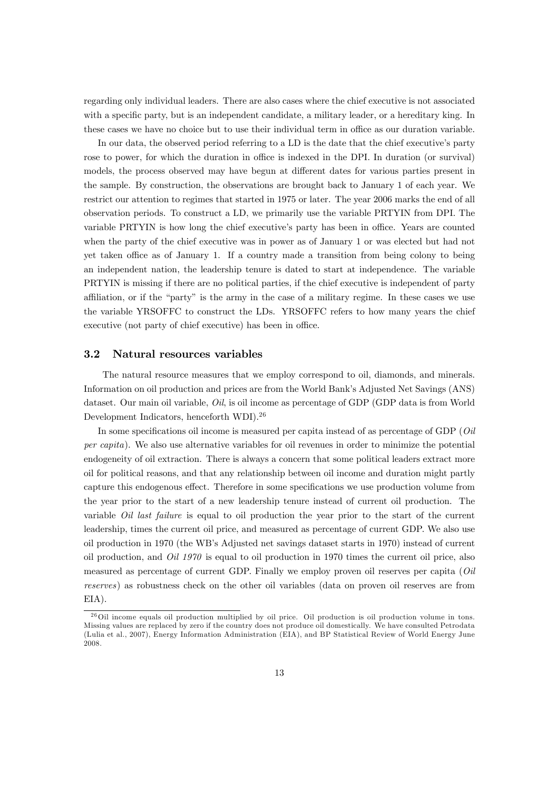regarding only individual leaders. There are also cases where the chief executive is not associated with a specific party, but is an independent candidate, a military leader, or a hereditary king. In these cases we have no choice but to use their individual term in office as our duration variable.

In our data, the observed period referring to a LD is the date that the chief executive's party rose to power, for which the duration in office is indexed in the DPI. In duration (or survival) models, the process observed may have begun at different dates for various parties present in the sample. By construction, the observations are brought back to January 1 of each year. We restrict our attention to regimes that started in 1975 or later. The year 2006 marks the end of all observation periods. To construct a LD, we primarily use the variable PRTYIN from DPI. The variable PRTYIN is how long the chief executive's party has been in office. Years are counted when the party of the chief executive was in power as of January 1 or was elected but had not yet taken office as of January 1. If a country made a transition from being colony to being an independent nation, the leadership tenure is dated to start at independence. The variable PRTYIN is missing if there are no political parties, if the chief executive is independent of party affiliation, or if the "party" is the army in the case of a military regime. In these cases we use the variable YRSOFFC to construct the LDs. YRSOFFC refers to how many years the chief executive (not party of chief executive) has been in office.

#### 3.2 Natural resources variables

The natural resource measures that we employ correspond to oil, diamonds, and minerals. Information on oil production and prices are from the World Bank's Adjusted Net Savings (ANS) dataset. Our main oil variable, Oil, is oil income as percentage of GDP (GDP data is from World Development Indicators, henceforth WDI).<sup>26</sup>

In some specifications oil income is measured per capita instead of as percentage of GDP (Oil per capita). We also use alternative variables for oil revenues in order to minimize the potential endogeneity of oil extraction. There is always a concern that some political leaders extract more oil for political reasons, and that any relationship between oil income and duration might partly capture this endogenous effect. Therefore in some specifications we use production volume from the year prior to the start of a new leadership tenure instead of current oil production. The variable *Oil last failure* is equal to oil production the year prior to the start of the current leadership, times the current oil price, and measured as percentage of current GDP. We also use oil production in 1970 (the WBís Adjusted net savings dataset starts in 1970) instead of current oil production, and  $Oil 1970$  is equal to oil production in 1970 times the current oil price, also measured as percentage of current GDP. Finally we employ proven oil reserves per capita (Oil reserves) as robustness check on the other oil variables (data on proven oil reserves are from EIA).

 $^{26}$ Oil income equals oil production multiplied by oil price. Oil production is oil production volume in tons. Missing values are replaced by zero if the country does not produce oil domestically. We have consulted Petrodata (Lulia et al., 2007), Energy Information Administration (EIA), and BP Statistical Review of World Energy June 2008.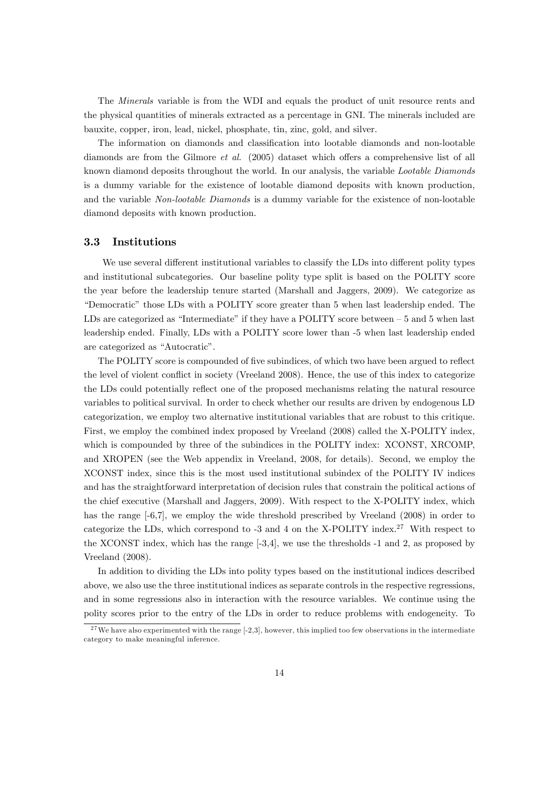The Minerals variable is from the WDI and equals the product of unit resource rents and the physical quantities of minerals extracted as a percentage in GNI. The minerals included are bauxite, copper, iron, lead, nickel, phosphate, tin, zinc, gold, and silver.

The information on diamonds and classification into lootable diamonds and non-lootable diamonds are from the Gilmore *et al.* (2005) dataset which offers a comprehensive list of all known diamond deposits throughout the world. In our analysis, the variable Lootable Diamonds is a dummy variable for the existence of lootable diamond deposits with known production, and the variable Non-lootable Diamonds is a dummy variable for the existence of non-lootable diamond deposits with known production.

#### 3.3 Institutions

We use several different institutional variables to classify the LDs into different polity types and institutional subcategories. Our baseline polity type split is based on the POLITY score the year before the leadership tenure started (Marshall and Jaggers, 2009). We categorize as ìDemocraticî those LDs with a POLITY score greater than 5 when last leadership ended. The LDs are categorized as "Intermediate" if they have a POLITY score between  $-5$  and 5 when last leadership ended. Finally, LDs with a POLITY score lower than -5 when last leadership ended are categorized as "Autocratic".

The POLITY score is compounded of five subindices, of which two have been argued to reflect the level of violent conflict in society (Vreeland 2008). Hence, the use of this index to categorize the LDs could potentially reflect one of the proposed mechanisms relating the natural resource variables to political survival. In order to check whether our results are driven by endogenous LD categorization, we employ two alternative institutional variables that are robust to this critique. First, we employ the combined index proposed by Vreeland (2008) called the X-POLITY index, which is compounded by three of the subindices in the POLITY index: XCONST, XRCOMP, and XROPEN (see the Web appendix in Vreeland, 2008, for details). Second, we employ the XCONST index, since this is the most used institutional subindex of the POLITY IV indices and has the straightforward interpretation of decision rules that constrain the political actions of the chief executive (Marshall and Jaggers, 2009). With respect to the X-POLITY index, which has the range  $[-6,7]$ , we employ the wide threshold prescribed by Vreeland (2008) in order to categorize the LDs, which correspond to  $-3$  and 4 on the X-POLITY index.<sup>27</sup> With respect to the XCONST index, which has the range [-3,4], we use the thresholds -1 and 2, as proposed by Vreeland (2008).

In addition to dividing the LDs into polity types based on the institutional indices described above, we also use the three institutional indices as separate controls in the respective regressions, and in some regressions also in interaction with the resource variables. We continue using the polity scores prior to the entry of the LDs in order to reduce problems with endogeneity. To

 $27$  We have also experimented with the range  $[-2,3]$ , however, this implied too few observations in the intermediate category to make meaningful inference.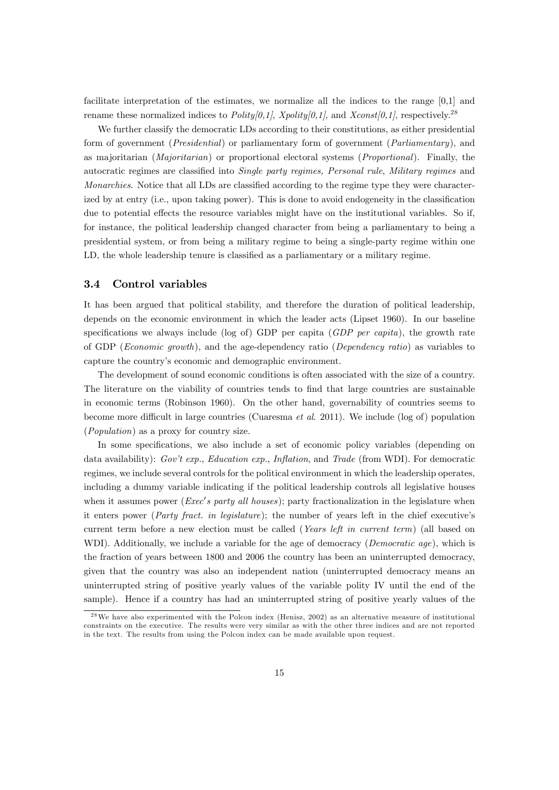facilitate interpretation of the estimates, we normalize all the indices to the range [0,1] and rename these normalized indices to Polity[0,1], Xpolity[0,1], and Xconst[0,1], respectively.<sup>28</sup>

We further classify the democratic LDs according to their constitutions, as either presidential form of government (Presidential) or parliamentary form of government (Parliamentary), and as majoritarian (Majoritarian) or proportional electoral systems (Proportional). Finally, the autocratic regimes are classified into Single party regimes, Personal rule, Military regimes and Monarchies. Notice that all LDs are classified according to the regime type they were characterized by at entry (i.e., upon taking power). This is done to avoid endogeneity in the classification due to potential effects the resource variables might have on the institutional variables. So if, for instance, the political leadership changed character from being a parliamentary to being a presidential system, or from being a military regime to being a single-party regime within one LD, the whole leadership tenure is classified as a parliamentary or a military regime.

#### 3.4 Control variables

It has been argued that political stability, and therefore the duration of political leadership, depends on the economic environment in which the leader acts (Lipset 1960). In our baseline specifications we always include (log of) GDP per capita ( $GDP$  per capita), the growth rate of GDP (Economic growth), and the age-dependency ratio (Dependency ratio) as variables to capture the countryís economic and demographic environment.

The development of sound economic conditions is often associated with the size of a country. The literature on the viability of countries tends to find that large countries are sustainable in economic terms (Robinson 1960). On the other hand, governability of countries seems to become more difficult in large countries (Cuaresma *et al.* 2011). We include (log of) population (Population) as a proxy for country size.

In some specifications, we also include a set of economic policy variables (depending on data availability):  $Gov't$  exp., Education exp., Inflation, and Trade (from WDI). For democratic regimes, we include several controls for the political environment in which the leadership operates, including a dummy variable indicating if the political leadership controls all legislative houses when it assumes power (*Exec's party all houses*); party fractionalization in the legislature when it enters power (*Party fract. in legislature*); the number of years left in the chief executive's current term before a new election must be called (Years left in current term) (all based on WDI). Additionally, we include a variable for the age of democracy (*Democratic age*), which is the fraction of years between 1800 and 2006 the country has been an uninterrupted democracy, given that the country was also an independent nation (uninterrupted democracy means an uninterrupted string of positive yearly values of the variable polity IV until the end of the sample). Hence if a country has had an uninterrupted string of positive yearly values of the

<sup>&</sup>lt;sup>28</sup>We have also experimented with the Polcon index (Henisz, 2002) as an alternative measure of institutional constraints on the executive. The results were very similar as with the other three indices and are not reported in the text. The results from using the Polcon index can be made available upon request.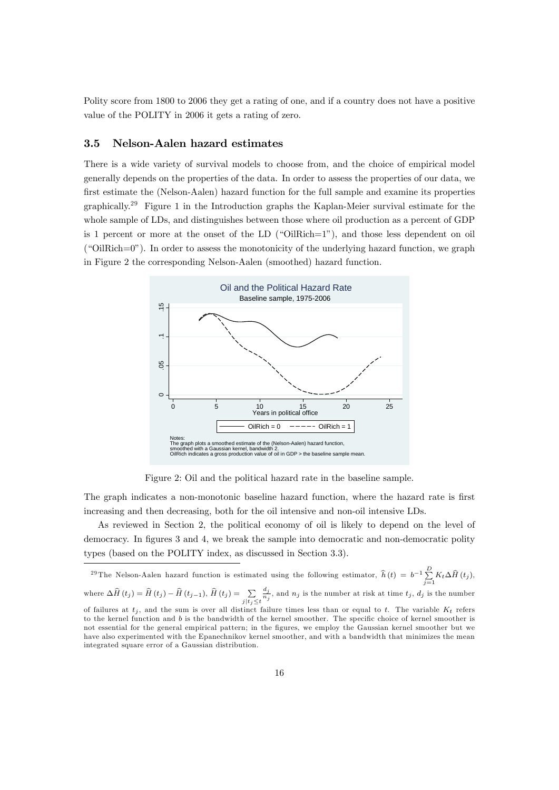Polity score from 1800 to 2006 they get a rating of one, and if a country does not have a positive value of the POLITY in 2006 it gets a rating of zero.

#### 3.5 Nelson-Aalen hazard estimates

There is a wide variety of survival models to choose from, and the choice of empirical model generally depends on the properties of the data. In order to assess the properties of our data, we first estimate the (Nelson-Aalen) hazard function for the full sample and examine its properties graphically.<sup>29</sup> Figure 1 in the Introduction graphs the Kaplan-Meier survival estimate for the whole sample of LDs, and distinguishes between those where oil production as a percent of GDP is 1 percent or more at the onset of the LD  $($ "OilRich=1" $)$ ), and those less dependent on oil  $\degree$  ("OilRich=0"). In order to assess the monotonicity of the underlying hazard function, we graph in Figure 2 the corresponding Nelson-Aalen (smoothed) hazard function.



Figure 2: Oil and the political hazard rate in the baseline sample.

The graph indicates a non-monotonic baseline hazard function, where the hazard rate is first increasing and then decreasing, both for the oil intensive and non-oil intensive LDs.

As reviewed in Section 2, the political economy of oil is likely to depend on the level of democracy. In figures 3 and 4, we break the sample into democratic and non-democratic polity types (based on the POLITY index, as discussed in Section 3.3).

<sup>29</sup>The Nelson-Aalen hazard function is estimated using the following estimator,  $\hat{h}(t) = b^{-1} \sum_{j=1}^{D} K_t \Delta \hat{H}(t_j)$ , where  $\Delta \widehat{H}\left(t_{j}\right) = \widehat{H}\left(t_{j}\right) - \widehat{H}\left(t_{j-1}\right), \widehat{H}\left(t_{j}\right) = \sum\limits_{j|t_{j} \leq t}$  $\frac{d_j}{n_j}$ , and  $n_j$  is the number at risk at time  $t_j$ ,  $d_j$  is the number of failures at  $t_i$ , and the sum is over all distinct failure times less than or equal to t. The variable  $K_t$  refers to the kernel function and  $b$  is the bandwidth of the kernel smoother. The specific choice of kernel smoother is not essential for the general empirical pattern; in the Ögures, we employ the Gaussian kernel smoother but we have also experimented with the Epanechnikov kernel smoother, and with a bandwidth that minimizes the mean integrated square error of a Gaussian distribution.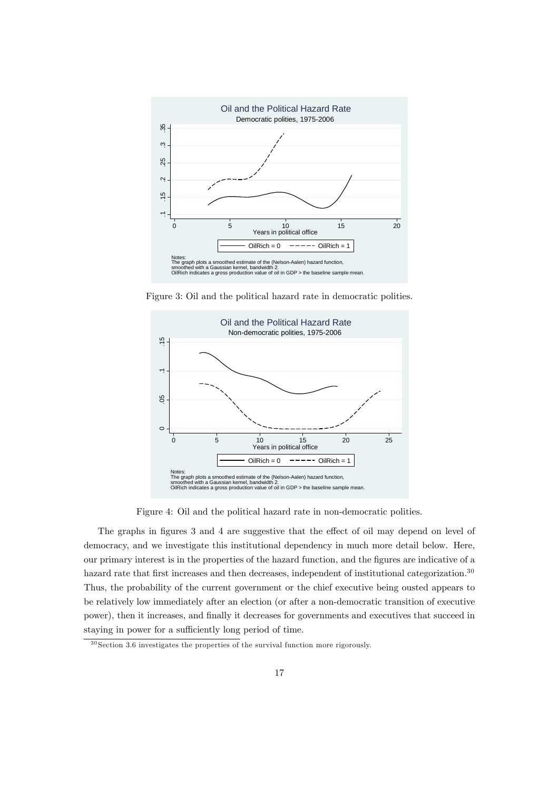

Figure 3: Oil and the political hazard rate in democratic polities.



Figure 4: Oil and the political hazard rate in non-democratic polities.

The graphs in figures 3 and 4 are suggestive that the effect of oil may depend on level of democracy, and we investigate this institutional dependency in much more detail below. Here, our primary interest is in the properties of the hazard function, and the Ögures are indicative of a hazard rate that first increases and then decreases, independent of institutional categorization.<sup>30</sup> Thus, the probability of the current government or the chief executive being ousted appears to be relatively low immediately after an election (or after a non-democratic transition of executive power), then it increases, and finally it decreases for governments and executives that succeed in staying in power for a sufficiently long period of time.

 $30$  Section 3.6 investigates the properties of the survival function more rigorously.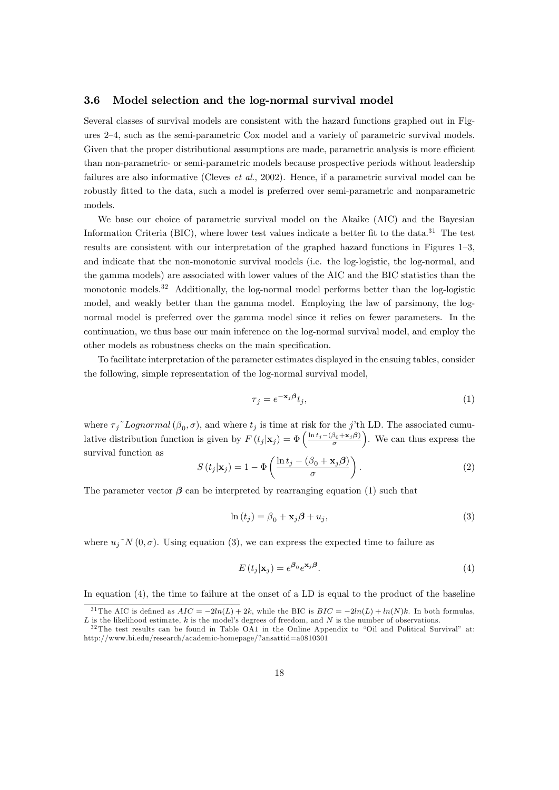#### 3.6 Model selection and the log-normal survival model

Several classes of survival models are consistent with the hazard functions graphed out in Figures  $2-4$ , such as the semi-parametric Cox model and a variety of parametric survival models. Given that the proper distributional assumptions are made, parametric analysis is more efficient than non-parametric- or semi-parametric models because prospective periods without leadership failures are also informative (Cleves *et al.*, 2002). Hence, if a parametric survival model can be robustly Ötted to the data, such a model is preferred over semi-parametric and nonparametric models.

We base our choice of parametric survival model on the Akaike (AIC) and the Bayesian Information Criteria (BIC), where lower test values indicate a better fit to the data.<sup>31</sup> The test results are consistent with our interpretation of the graphed hazard functions in Figures 1–3, and indicate that the non-monotonic survival models (i.e. the log-logistic, the log-normal, and the gamma models) are associated with lower values of the AIC and the BIC statistics than the monotonic models.<sup>32</sup> Additionally, the log-normal model performs better than the log-logistic model, and weakly better than the gamma model. Employing the law of parsimony, the lognormal model is preferred over the gamma model since it relies on fewer parameters. In the continuation, we thus base our main inference on the log-normal survival model, and employ the other models as robustness checks on the main specification.

To facilitate interpretation of the parameter estimates displayed in the ensuing tables, consider the following, simple representation of the log-normal survival model,

$$
\tau_j = e^{-\mathbf{x}_j \boldsymbol{\beta}} t_j,\tag{1}
$$

where  $\tau_j$ <sup> $\tau$ </sup>Lognormal  $(\beta_0, \sigma)$ , and where  $t_j$  is time at risk for the j'th LD. The associated cumulative distribution function is given by  $F(t_j|\mathbf{x}_j) = \Phi\left(\frac{\ln t_j - (\beta_0 + \mathbf{x}_j)\beta}{\sigma}\right)$  . We can thus express the survival function as

$$
S(t_j|\mathbf{x}_j) = 1 - \Phi\left(\frac{\ln t_j - (\beta_0 + \mathbf{x}_j)\beta}{\sigma}\right). \tag{2}
$$

The parameter vector  $\beta$  can be interpreted by rearranging equation (1) such that

$$
\ln(t_j) = \beta_0 + \mathbf{x}_j \boldsymbol{\beta} + u_j,\tag{3}
$$

where  $u_i^N(0, \sigma)$ . Using equation (3), we can express the expected time to failure as

$$
E(t_j|\mathbf{x}_j) = e^{\beta_0} e^{\mathbf{x}_j \beta}.
$$
\n(4)

In equation (4), the time to failure at the onset of a LD is equal to the product of the baseline

<sup>&</sup>lt;sup>31</sup> The AIC is defined as  $AIC = -2ln(L) + 2k$ , while the BIC is  $BIC = -2ln(L) + ln(N)k$ . In both formulas,  $L$  is the likelihood estimate, k is the model's degrees of freedom, and N is the number of observations.

 $3<sup>32</sup>$ The test results can be found in Table OA1 in the Online Appendix to "Oil and Political Survival" at: http://www.bi.edu/research/academic-homepage/?ansattid=a0810301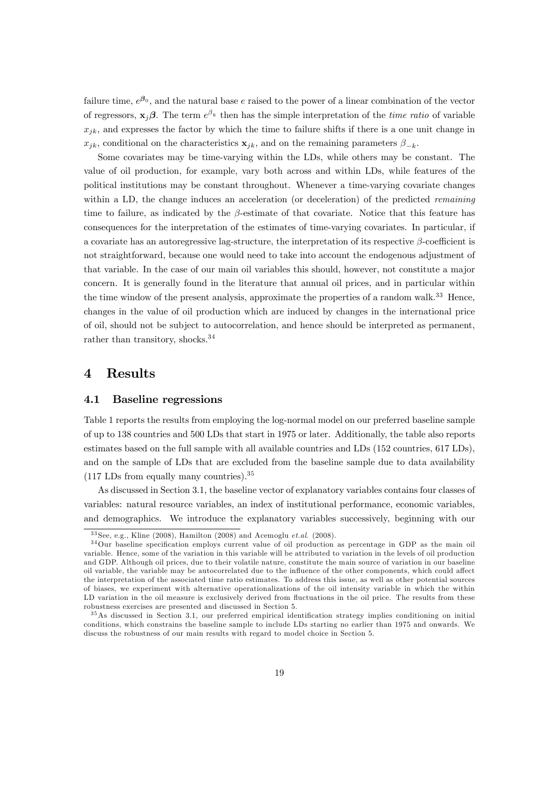failure time,  $e^{\beta_0}$ , and the natural base e raised to the power of a linear combination of the vector of regressors,  $\mathbf{x}_j \boldsymbol{\beta}$ . The term  $e^{\beta_k}$  then has the simple interpretation of the *time ratio* of variable  $x_{ik}$ , and expresses the factor by which the time to failure shifts if there is a one unit change in  $x_{jk}$ , conditional on the characteristics  $\mathbf{x}_{jk}$ , and on the remaining parameters  $\beta_{-k}$ .

Some covariates may be time-varying within the LDs, while others may be constant. The value of oil production, for example, vary both across and within LDs, while features of the political institutions may be constant throughout. Whenever a time-varying covariate changes within a LD, the change induces an acceleration (or deceleration) of the predicted *remaining* time to failure, as indicated by the  $\beta$ -estimate of that covariate. Notice that this feature has consequences for the interpretation of the estimates of time-varying covariates. In particular, if a covariate has an autoregressive lag-structure, the interpretation of its respective  $\beta$ -coefficient is not straightforward, because one would need to take into account the endogenous adjustment of that variable. In the case of our main oil variables this should, however, not constitute a major concern. It is generally found in the literature that annual oil prices, and in particular within the time window of the present analysis, approximate the properties of a random walk.<sup>33</sup> Hence, changes in the value of oil production which are induced by changes in the international price of oil, should not be subject to autocorrelation, and hence should be interpreted as permanent, rather than transitory, shocks.<sup>34</sup>

#### 4 Results

#### 4.1 Baseline regressions

Table 1 reports the results from employing the log-normal model on our preferred baseline sample of up to 138 countries and 500 LDs that start in 1975 or later. Additionally, the table also reports estimates based on the full sample with all available countries and LDs (152 countries, 617 LDs), and on the sample of LDs that are excluded from the baseline sample due to data availability (117 LDs from equally many countries).<sup>35</sup>

As discussed in Section 3.1, the baseline vector of explanatory variables contains four classes of variables: natural resource variables, an index of institutional performance, economic variables, and demographics. We introduce the explanatory variables successively, beginning with our

 $33$  See, e.g., Kline (2008), Hamilton (2008) and Acemoglu et.al. (2008).

 $34$ Our baseline specification employs current value of oil production as percentage in GDP as the main oil variable. Hence, some of the variation in this variable will be attributed to variation in the levels of oil production and GDP. Although oil prices, due to their volatile nature, constitute the main source of variation in our baseline oil variable, the variable may be autocorrelated due to the influence of the other components, which could affect the interpretation of the associated time ratio estimates. To address this issue, as well as other potential sources of biases, we experiment with alternative operationalizations of the oil intensity variable in which the within LD variation in the oil measure is exclusively derived from fluctuations in the oil price. The results from these robustness exercises are presented and discussed in Section 5.

<sup>&</sup>lt;sup>35</sup>As discussed in Section 3.1, our preferred empirical identification strategy implies conditioning on initial conditions, which constrains the baseline sample to include LDs starting no earlier than 1975 and onwards. We discuss the robustness of our main results with regard to model choice in Section 5.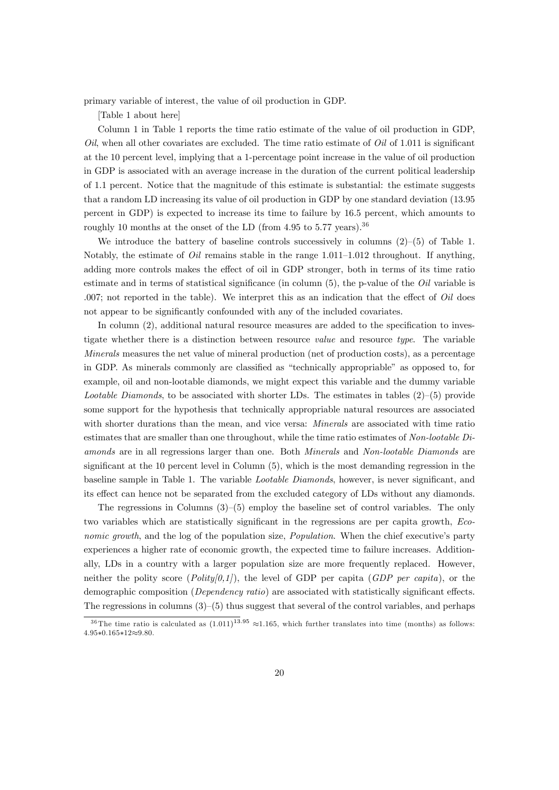primary variable of interest, the value of oil production in GDP.

[Table 1 about here]

Column 1 in Table 1 reports the time ratio estimate of the value of oil production in GDP,  $Oil$ , when all other covariates are excluded. The time ratio estimate of  $Oil$  of 1.011 is significant at the 10 percent level, implying that a 1-percentage point increase in the value of oil production in GDP is associated with an average increase in the duration of the current political leadership of 1.1 percent. Notice that the magnitude of this estimate is substantial: the estimate suggests that a random LD increasing its value of oil production in GDP by one standard deviation (13.95 percent in GDP) is expected to increase its time to failure by 16.5 percent, which amounts to roughly 10 months at the onset of the LD (from 4.95 to 5.77 years).<sup>36</sup>

We introduce the battery of baseline controls successively in columns  $(2)-(5)$  of Table 1. Notably, the estimate of Oil remains stable in the range  $1.011-1.012$  throughout. If anything, adding more controls makes the effect of oil in GDP stronger, both in terms of its time ratio estimate and in terms of statistical significance (in column  $(5)$ , the p-value of the *Oil* variable is .007; not reported in the table). We interpret this as an indication that the effect of  $Oil$  does not appear to be significantly confounded with any of the included covariates.

In column  $(2)$ , additional natural resource measures are added to the specification to investigate whether there is a distinction between resource value and resource type. The variable Minerals measures the net value of mineral production (net of production costs), as a percentage in GDP. As minerals commonly are classified as "technically appropriable" as opposed to, for example, oil and non-lootable diamonds, we might expect this variable and the dummy variable Lootable Diamonds, to be associated with shorter LDs. The estimates in tables  $(2)-(5)$  provide some support for the hypothesis that technically appropriable natural resources are associated with shorter durations than the mean, and vice versa: *Minerals* are associated with time ratio estimates that are smaller than one throughout, while the time ratio estimates of Non-lootable Diamonds are in all regressions larger than one. Both Minerals and Non-lootable Diamonds are significant at the  $10$  percent level in Column  $(5)$ , which is the most demanding regression in the baseline sample in Table 1. The variable *Lootable Diamonds*, however, is never significant, and its effect can hence not be separated from the excluded category of LDs without any diamonds.

The regressions in Columns  $(3)-(5)$  employ the baseline set of control variables. The only two variables which are statistically significant in the regressions are per capita growth, Economic growth, and the log of the population size, *Population*. When the chief executive's party experiences a higher rate of economic growth, the expected time to failure increases. Additionally, LDs in a country with a larger population size are more frequently replaced. However, neither the polity score  $(Polity[0,1])$ , the level of GDP per capita (GDP per capita), or the demographic composition (Dependency ratio) are associated with statistically significant effects. The regressions in columns  $(3)-(5)$  thus suggest that several of the control variables, and perhaps

<sup>&</sup>lt;sup>36</sup> The time ratio is calculated as  $(1.011)^{13.95} \approx 1.165$ , which further translates into time (months) as follows:  $4.95*0.165*12\approx9.80$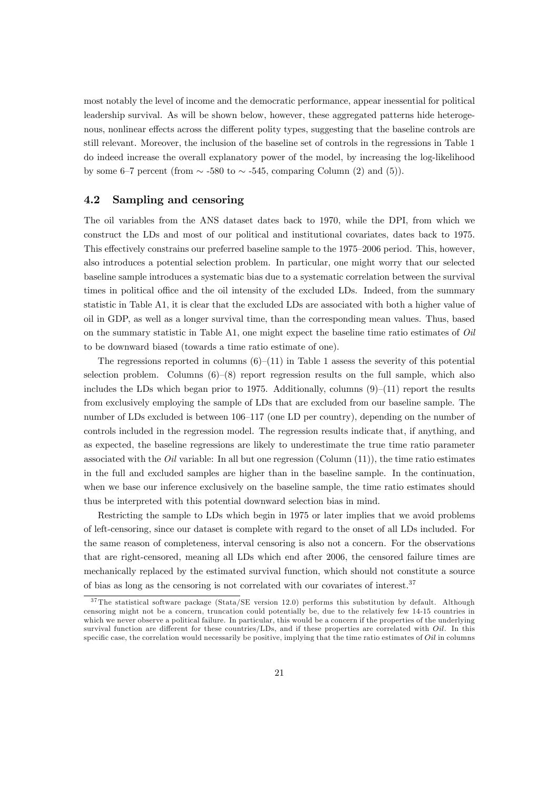most notably the level of income and the democratic performance, appear inessential for political leadership survival. As will be shown below, however, these aggregated patterns hide heterogenous, nonlinear effects across the different polity types, suggesting that the baseline controls are still relevant. Moreover, the inclusion of the baseline set of controls in the regressions in Table 1 do indeed increase the overall explanatory power of the model, by increasing the log-likelihood by some 6–7 percent (from  $\sim$  -580 to  $\sim$  -545, comparing Column (2) and (5)).

### 4.2 Sampling and censoring

The oil variables from the ANS dataset dates back to 1970, while the DPI, from which we construct the LDs and most of our political and institutional covariates, dates back to 1975. This effectively constrains our preferred baseline sample to the 1975–2006 period. This, however, also introduces a potential selection problem. In particular, one might worry that our selected baseline sample introduces a systematic bias due to a systematic correlation between the survival times in political office and the oil intensity of the excluded LDs. Indeed, from the summary statistic in Table A1, it is clear that the excluded LDs are associated with both a higher value of oil in GDP, as well as a longer survival time, than the corresponding mean values. Thus, based on the summary statistic in Table A1, one might expect the baseline time ratio estimates of Oil to be downward biased (towards a time ratio estimate of one).

The regressions reported in columns  $(6)-(11)$  in Table 1 assess the severity of this potential selection problem. Columns  $(6)-(8)$  report regression results on the full sample, which also includes the LDs which began prior to 1975. Additionally, columns  $(9)$ – $(11)$  report the results from exclusively employing the sample of LDs that are excluded from our baseline sample. The number of LDs excluded is between 106–117 (one LD per country), depending on the number of controls included in the regression model. The regression results indicate that, if anything, and as expected, the baseline regressions are likely to underestimate the true time ratio parameter associated with the *Oil* variable: In all but one regression (Column  $(11)$ ), the time ratio estimates in the full and excluded samples are higher than in the baseline sample. In the continuation, when we base our inference exclusively on the baseline sample, the time ratio estimates should thus be interpreted with this potential downward selection bias in mind.

Restricting the sample to LDs which begin in 1975 or later implies that we avoid problems of left-censoring, since our dataset is complete with regard to the onset of all LDs included. For the same reason of completeness, interval censoring is also not a concern. For the observations that are right-censored, meaning all LDs which end after 2006, the censored failure times are mechanically replaced by the estimated survival function, which should not constitute a source of bias as long as the censoring is not correlated with our covariates of interest.<sup>37</sup>

<sup>&</sup>lt;sup>37</sup>The statistical software package (Stata/SE version 12.0) performs this substitution by default. Although censoring might not be a concern, truncation could potentially be, due to the relatively few 14-15 countries in which we never observe a political failure. In particular, this would be a concern if the properties of the underlying survival function are different for these countries/LDs, and if these properties are correlated with  $Oil$ . In this specific case, the correlation would necessarily be positive, implying that the time ratio estimates of Oil in columns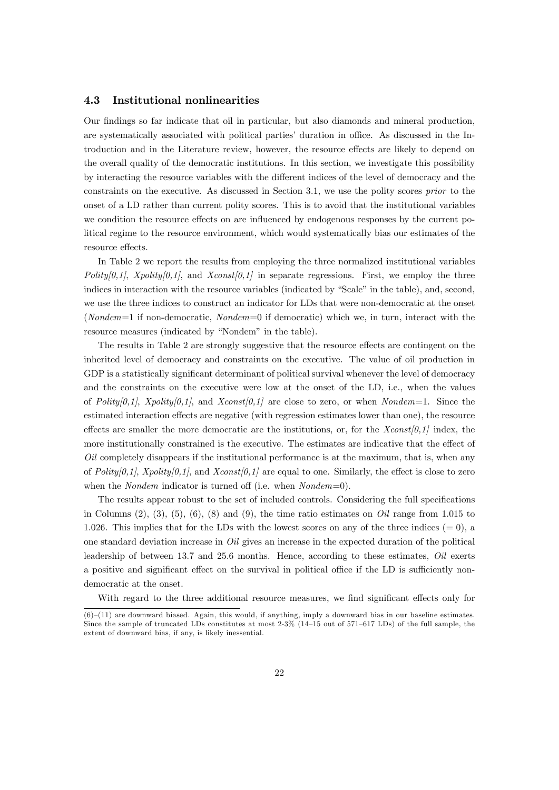#### 4.3 Institutional nonlinearities

Our Öndings so far indicate that oil in particular, but also diamonds and mineral production, are systematically associated with political parties' duration in office. As discussed in the Introduction and in the Literature review, however, the resource effects are likely to depend on the overall quality of the democratic institutions. In this section, we investigate this possibility by interacting the resource variables with the different indices of the level of democracy and the constraints on the executive. As discussed in Section 3.1, we use the polity scores prior to the onset of a LD rather than current polity scores. This is to avoid that the institutional variables we condition the resource effects on are influenced by endogenous responses by the current political regime to the resource environment, which would systematically bias our estimates of the resource effects.

In Table 2 we report the results from employing the three normalized institutional variables Polity[0,1], Xpolity[0,1], and Xconst[0,1] in separate regressions. First, we employ the three indices in interaction with the resource variables (indicated by "Scale" in the table), and, second, we use the three indices to construct an indicator for LDs that were non-democratic at the onset (Nondem=1 if non-democratic, Nondem=0 if democratic) which we, in turn, interact with the resource measures (indicated by "Nondem" in the table).

The results in Table 2 are strongly suggestive that the resource effects are contingent on the inherited level of democracy and constraints on the executive. The value of oil production in GDP is a statistically significant determinant of political survival whenever the level of democracy and the constraints on the executive were low at the onset of the LD, i.e., when the values of Polity[0,1], Xpolity[0,1], and Xconst[0,1] are close to zero, or when Nondem=1. Since the estimated interaction effects are negative (with regression estimates lower than one), the resource effects are smaller the more democratic are the institutions, or, for the  $Xconst[0,1]$  index, the more institutionally constrained is the executive. The estimates are indicative that the effect of  $Oil$  completely disappears if the institutional performance is at the maximum, that is, when any of Polity[0,1], Xpolity[0,1], and Xconst[0,1] are equal to one. Similarly, the effect is close to zero when the *Nondem* indicator is turned off (i.e. when  $Nondem=0$ ).

The results appear robust to the set of included controls. Considering the full specifications in Columns  $(2), (3), (5), (6), (8)$  and  $(9)$ , the time ratio estimates on *Oil* range from 1.015 to 1.026. This implies that for the LDs with the lowest scores on any of the three indices  $(= 0)$ , a one standard deviation increase in  $Oil$  gives an increase in the expected duration of the political leadership of between 13.7 and 25.6 months. Hence, according to these estimates, Oil exerts a positive and significant effect on the survival in political office if the LD is sufficiently nondemocratic at the onset.

With regard to the three additional resource measures, we find significant effects only for

 $(6)-(11)$  are downward biased. Again, this would, if anything, imply a downward bias in our baseline estimates. Since the sample of truncated LDs constitutes at most  $2-3\%$  (14–15 out of 571–617 LDs) of the full sample, the extent of downward bias, if any, is likely inessential.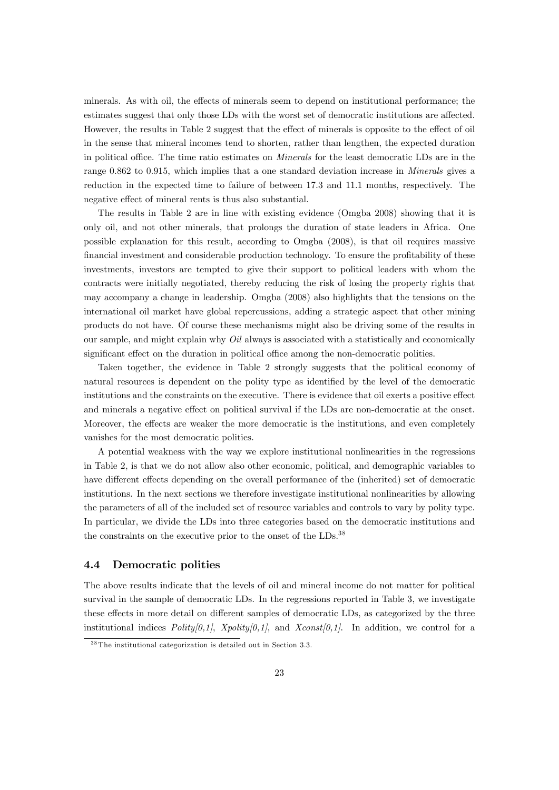minerals. As with oil, the effects of minerals seem to depend on institutional performance; the estimates suggest that only those LDs with the worst set of democratic institutions are affected. However, the results in Table 2 suggest that the effect of minerals is opposite to the effect of oil in the sense that mineral incomes tend to shorten, rather than lengthen, the expected duration in political office. The time ratio estimates on *Minerals* for the least democratic LDs are in the range 0.862 to 0.915, which implies that a one standard deviation increase in *Minerals* gives a reduction in the expected time to failure of between 17.3 and 11.1 months, respectively. The negative effect of mineral rents is thus also substantial.

The results in Table 2 are in line with existing evidence (Omgba 2008) showing that it is only oil, and not other minerals, that prolongs the duration of state leaders in Africa. One possible explanation for this result, according to Omgba (2008), is that oil requires massive financial investment and considerable production technology. To ensure the profitability of these investments, investors are tempted to give their support to political leaders with whom the contracts were initially negotiated, thereby reducing the risk of losing the property rights that may accompany a change in leadership. Omgba (2008) also highlights that the tensions on the international oil market have global repercussions, adding a strategic aspect that other mining products do not have. Of course these mechanisms might also be driving some of the results in our sample, and might explain why  $Oil$  always is associated with a statistically and economically significant effect on the duration in political office among the non-democratic polities.

Taken together, the evidence in Table 2 strongly suggests that the political economy of natural resources is dependent on the polity type as identified by the level of the democratic institutions and the constraints on the executive. There is evidence that oil exerts a positive effect and minerals a negative effect on political survival if the LDs are non-democratic at the onset. Moreover, the effects are weaker the more democratic is the institutions, and even completely vanishes for the most democratic polities.

A potential weakness with the way we explore institutional nonlinearities in the regressions in Table 2, is that we do not allow also other economic, political, and demographic variables to have different effects depending on the overall performance of the (inherited) set of democratic institutions. In the next sections we therefore investigate institutional nonlinearities by allowing the parameters of all of the included set of resource variables and controls to vary by polity type. In particular, we divide the LDs into three categories based on the democratic institutions and the constraints on the executive prior to the onset of the LDs.<sup>38</sup>

#### 4.4 Democratic polities

The above results indicate that the levels of oil and mineral income do not matter for political survival in the sample of democratic LDs. In the regressions reported in Table 3, we investigate these effects in more detail on different samples of democratic LDs, as categorized by the three institutional indices  $Poly[0,1],$  Xpolity $[0,1],$  and Xconst $[0,1].$  In addition, we control for a

<sup>&</sup>lt;sup>38</sup> The institutional categorization is detailed out in Section 3.3.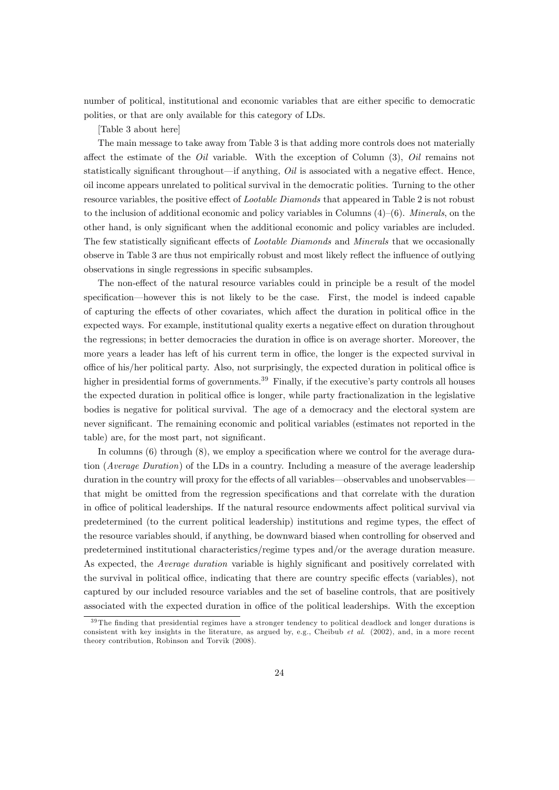number of political, institutional and economic variables that are either specific to democratic polities, or that are only available for this category of LDs.

[Table 3 about here]

The main message to take away from Table 3 is that adding more controls does not materially affect the estimate of the  $Oil$  variable. With the exception of Column (3),  $Oil$  remains not statistically significant throughout—if anything,  $Oil$  is associated with a negative effect. Hence, oil income appears unrelated to political survival in the democratic polities. Turning to the other resource variables, the positive effect of *Lootable Diamonds* that appeared in Table 2 is not robust to the inclusion of additional economic and policy variables in Columns  $(4)-(6)$ . *Minerals*, on the other hand, is only significant when the additional economic and policy variables are included. The few statistically significant effects of *Lootable Diamonds* and *Minerals* that we occasionally observe in Table 3 are thus not empirically robust and most likely reflect the influence of outlying observations in single regressions in specific subsamples.

The non-effect of the natural resource variables could in principle be a result of the model specification—however this is not likely to be the case. First, the model is indeed capable of capturing the effects of other covariates, which affect the duration in political office in the expected ways. For example, institutional quality exerts a negative effect on duration throughout the regressions; in better democracies the duration in office is on average shorter. Moreover, the more years a leader has left of his current term in office, the longer is the expected survival in office of his/her political party. Also, not surprisingly, the expected duration in political office is higher in presidential forms of governments.<sup>39</sup> Finally, if the executive's party controls all houses the expected duration in political office is longer, while party fractionalization in the legislative bodies is negative for political survival. The age of a democracy and the electoral system are never significant. The remaining economic and political variables (estimates not reported in the table) are, for the most part, not significant.

In columns  $(6)$  through  $(8)$ , we employ a specification where we control for the average duration (Average Duration) of the LDs in a country. Including a measure of the average leadership duration in the country will proxy for the effects of all variables—observables and unobservables that might be omitted from the regression specifications and that correlate with the duration in office of political leaderships. If the natural resource endowments affect political survival via predetermined (to the current political leadership) institutions and regime types, the effect of the resource variables should, if anything, be downward biased when controlling for observed and predetermined institutional characteristics/regime types and/or the average duration measure. As expected, the *Average duration* variable is highly significant and positively correlated with the survival in political office, indicating that there are country specific effects (variables), not captured by our included resource variables and the set of baseline controls, that are positively associated with the expected duration in office of the political leaderships. With the exception

<sup>&</sup>lt;sup>39</sup> The finding that presidential regimes have a stronger tendency to political deadlock and longer durations is consistent with key insights in the literature, as argued by, e.g., Cheibub  $et \ al.$  (2002), and, in a more recent theory contribution, Robinson and Torvik (2008).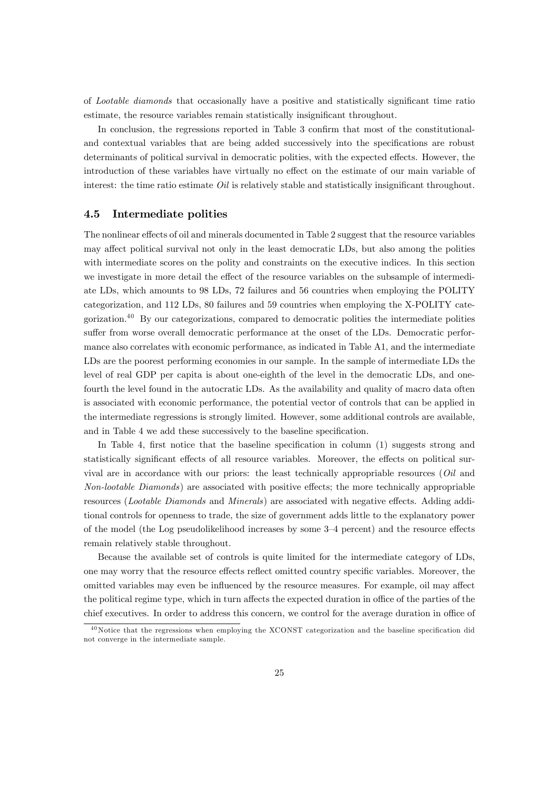of Lootable diamonds that occasionally have a positive and statistically significant time ratio estimate, the resource variables remain statistically insignificant throughout.

In conclusion, the regressions reported in Table 3 confirm that most of the constitutionaland contextual variables that are being added successively into the specifications are robust determinants of political survival in democratic polities, with the expected effects. However, the introduction of these variables have virtually no effect on the estimate of our main variable of interest: the time ratio estimate  $Oil$  is relatively stable and statistically insignificant throughout.

#### 4.5 Intermediate polities

The nonlinear effects of oil and minerals documented in Table 2 suggest that the resource variables may affect political survival not only in the least democratic LDs, but also among the polities with intermediate scores on the polity and constraints on the executive indices. In this section we investigate in more detail the effect of the resource variables on the subsample of intermediate LDs, which amounts to 98 LDs, 72 failures and 56 countries when employing the POLITY categorization, and 112 LDs, 80 failures and 59 countries when employing the X-POLITY categorization.<sup>40</sup> By our categorizations, compared to democratic polities the intermediate polities suffer from worse overall democratic performance at the onset of the LDs. Democratic performance also correlates with economic performance, as indicated in Table A1, and the intermediate LDs are the poorest performing economies in our sample. In the sample of intermediate LDs the level of real GDP per capita is about one-eighth of the level in the democratic LDs, and onefourth the level found in the autocratic LDs. As the availability and quality of macro data often is associated with economic performance, the potential vector of controls that can be applied in the intermediate regressions is strongly limited. However, some additional controls are available, and in Table 4 we add these successively to the baseline specification.

In Table 4, first notice that the baseline specification in column  $(1)$  suggests strong and statistically significant effects of all resource variables. Moreover, the effects on political survival are in accordance with our priors: the least technically appropriable resources (Oil and Non-lootable Diamonds) are associated with positive effects; the more technically appropriable resources (*Lootable Diamonds* and *Minerals*) are associated with negative effects. Adding additional controls for openness to trade, the size of government adds little to the explanatory power of the model (the Log pseudolikelihood increases by some  $3-4$  percent) and the resource effects remain relatively stable throughout.

Because the available set of controls is quite limited for the intermediate category of LDs, one may worry that the resource effects reflect omitted country specific variables. Moreover, the omitted variables may even be influenced by the resource measures. For example, oil may affect the political regime type, which in turn affects the expected duration in office of the parties of the chief executives. In order to address this concern, we control for the average duration in office of

 $40$  Notice that the regressions when employing the XCONST categorization and the baseline specification did not converge in the intermediate sample.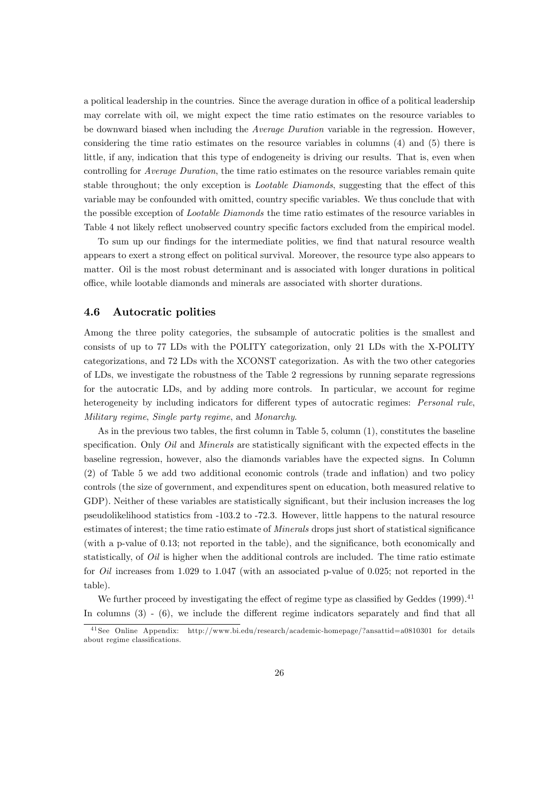a political leadership in the countries. Since the average duration in office of a political leadership may correlate with oil, we might expect the time ratio estimates on the resource variables to be downward biased when including the Average Duration variable in the regression. However, considering the time ratio estimates on the resource variables in columns (4) and (5) there is little, if any, indication that this type of endogeneity is driving our results. That is, even when controlling for Average Duration, the time ratio estimates on the resource variables remain quite stable throughout; the only exception is *Lootable Diamonds*, suggesting that the effect of this variable may be confounded with omitted, country specific variables. We thus conclude that with the possible exception of Lootable Diamonds the time ratio estimates of the resource variables in Table 4 not likely reflect unobserved country specific factors excluded from the empirical model.

To sum up our findings for the intermediate polities, we find that natural resource wealth appears to exert a strong effect on political survival. Moreover, the resource type also appears to matter. Oil is the most robust determinant and is associated with longer durations in political o¢ ce, while lootable diamonds and minerals are associated with shorter durations.

#### 4.6 Autocratic polities

Among the three polity categories, the subsample of autocratic polities is the smallest and consists of up to 77 LDs with the POLITY categorization, only 21 LDs with the X-POLITY categorizations, and 72 LDs with the XCONST categorization. As with the two other categories of LDs, we investigate the robustness of the Table 2 regressions by running separate regressions for the autocratic LDs, and by adding more controls. In particular, we account for regime heterogeneity by including indicators for different types of autocratic regimes: Personal rule, Military regime, Single party regime, and Monarchy.

As in the previous two tables, the first column in Table  $5$ , column  $(1)$ , constitutes the baseline specification. Only Oil and Minerals are statistically significant with the expected effects in the baseline regression, however, also the diamonds variables have the expected signs. In Column (2) of Table 5 we add two additional economic controls (trade and ináation) and two policy controls (the size of government, and expenditures spent on education, both measured relative to GDP). Neither of these variables are statistically significant, but their inclusion increases the log pseudolikelihood statistics from -103.2 to -72.3. However, little happens to the natural resource estimates of interest; the time ratio estimate of *Minerals* drops just short of statistical significance (with a p-value of  $0.13$ ; not reported in the table), and the significance, both economically and statistically, of *Oil* is higher when the additional controls are included. The time ratio estimate for Oil increases from 1.029 to 1.047 (with an associated p-value of 0.025; not reported in the table).

We further proceed by investigating the effect of regime type as classified by Geddes  $(1999).<sup>41</sup>$ In columns  $(3)$  -  $(6)$ , we include the different regime indicators separately and find that all

<sup>4 1</sup> See Online Appendix: http://www.bi.edu/research/academic-homepage/?ansattid=a0810301 for details about regime classifications.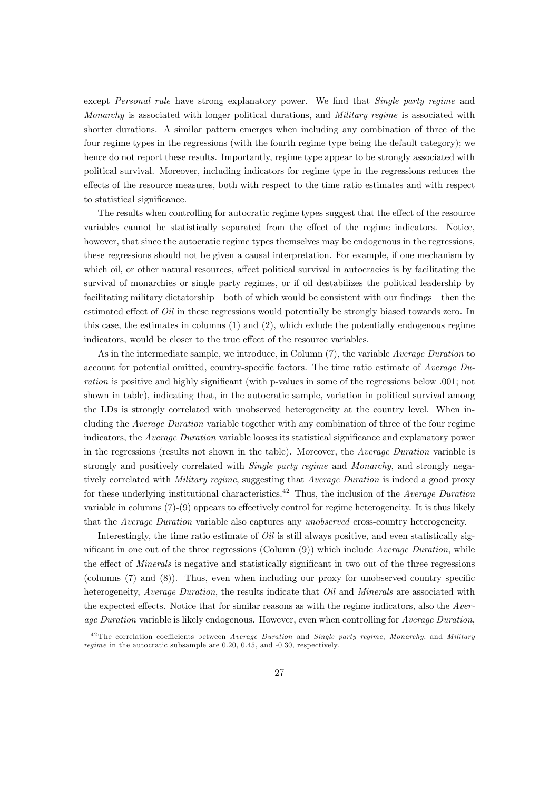except Personal rule have strong explanatory power. We find that Single party regime and Monarchy is associated with longer political durations, and Military regime is associated with shorter durations. A similar pattern emerges when including any combination of three of the four regime types in the regressions (with the fourth regime type being the default category); we hence do not report these results. Importantly, regime type appear to be strongly associated with political survival. Moreover, including indicators for regime type in the regressions reduces the effects of the resource measures, both with respect to the time ratio estimates and with respect to statistical significance.

The results when controlling for autocratic regime types suggest that the effect of the resource variables cannot be statistically separated from the effect of the regime indicators. Notice, however, that since the autocratic regime types themselves may be endogenous in the regressions, these regressions should not be given a causal interpretation. For example, if one mechanism by which oil, or other natural resources, affect political survival in autocracies is by facilitating the survival of monarchies or single party regimes, or if oil destabilizes the political leadership by facilitating military dictatorship—both of which would be consistent with our findings—then the estimated effect of  $Oil$  in these regressions would potentially be strongly biased towards zero. In this case, the estimates in columns (1) and (2), which exlude the potentially endogenous regime indicators, would be closer to the true effect of the resource variables.

As in the intermediate sample, we introduce, in Column (7), the variable *Average Duration* to account for potential omitted, country-specific factors. The time ratio estimate of Average  $Du$ ration is positive and highly significant (with p-values in some of the regressions below .001; not shown in table), indicating that, in the autocratic sample, variation in political survival among the LDs is strongly correlated with unobserved heterogeneity at the country level. When including the Average Duration variable together with any combination of three of the four regime indicators, the Average Duration variable looses its statistical significance and explanatory power in the regressions (results not shown in the table). Moreover, the Average Duration variable is strongly and positively correlated with *Single party regime* and *Monarchy*, and strongly negatively correlated with Military regime, suggesting that Average Duration is indeed a good proxy for these underlying institutional characteristics.<sup>42</sup> Thus, the inclusion of the Average Duration variable in columns  $(7)-(9)$  appears to effectively control for regime heterogeneity. It is thus likely that the Average Duration variable also captures any unobserved cross-country heterogeneity.

Interestingly, the time ratio estimate of  $Oil$  is still always positive, and even statistically significant in one out of the three regressions (Column  $(9)$ ) which include Average Duration, while the effect of *Minerals* is negative and statistically significant in two out of the three regressions (columns  $(7)$  and  $(8)$ ). Thus, even when including our proxy for unobserved country specific heterogeneity, Average Duration, the results indicate that Oil and Minerals are associated with the expected effects. Notice that for similar reasons as with the regime indicators, also the  $Aver$ age Duration variable is likely endogenous. However, even when controlling for Average Duration,

 $42$ The correlation coefficients between Average Duration and Single party regime, Monarchy, and Military regime in the autocratic subsample are 0.20, 0.45, and -0.30, respectively.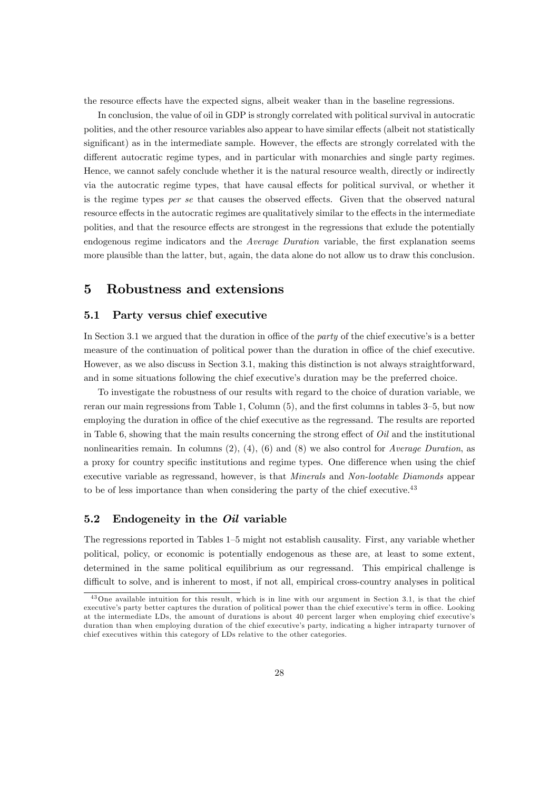the resource effects have the expected signs, albeit weaker than in the baseline regressions.

In conclusion, the value of oil in GDP is strongly correlated with political survival in autocratic polities, and the other resource variables also appear to have similar effects (albeit not statistically significant) as in the intermediate sample. However, the effects are strongly correlated with the different autocratic regime types, and in particular with monarchies and single party regimes. Hence, we cannot safely conclude whether it is the natural resource wealth, directly or indirectly via the autocratic regime types, that have causal effects for political survival, or whether it is the regime types  $per \, se$  that causes the observed effects. Given that the observed natural resource effects in the autocratic regimes are qualitatively similar to the effects in the intermediate polities, and that the resource effects are strongest in the regressions that exlude the potentially endogenous regime indicators and the Average Duration variable, the first explanation seems more plausible than the latter, but, again, the data alone do not allow us to draw this conclusion.

# 5 Robustness and extensions

#### 5.1 Party versus chief executive

In Section 3.1 we argued that the duration in office of the party of the chief executive's is a better measure of the continuation of political power than the duration in office of the chief executive. However, as we also discuss in Section 3.1, making this distinction is not always straightforward, and in some situations following the chief executive's duration may be the preferred choice.

To investigate the robustness of our results with regard to the choice of duration variable, we reran our main regressions from Table 1, Column  $(5)$ , and the first columns in tables  $3-5$ , but now employing the duration in office of the chief executive as the regressand. The results are reported in Table 6, showing that the main results concerning the strong effect of  $Oil$  and the institutional nonlinearities remain. In columns  $(2), (4), (6)$  and  $(8)$  we also control for *Average Duration*, as a proxy for country specific institutions and regime types. One difference when using the chief executive variable as regressand, however, is that Minerals and Non-lootable Diamonds appear to be of less importance than when considering the party of the chief executive.<sup>43</sup>

## 5.2 Endogeneity in the *Oil* variable

The regressions reported in Tables  $1-5$  might not establish causality. First, any variable whether political, policy, or economic is potentially endogenous as these are, at least to some extent, determined in the same political equilibrium as our regressand. This empirical challenge is difficult to solve, and is inherent to most, if not all, empirical cross-country analyses in political

 $43$ One available intuition for this result, which is in line with our argument in Section 3.1, is that the chief executive's party better captures the duration of political power than the chief executive's term in office. Looking at the intermediate LDs, the amount of durations is about 40 percent larger when employing chief executive's duration than when employing duration of the chief executive's party, indicating a higher intraparty turnover of chief executives within this category of LDs relative to the other categories.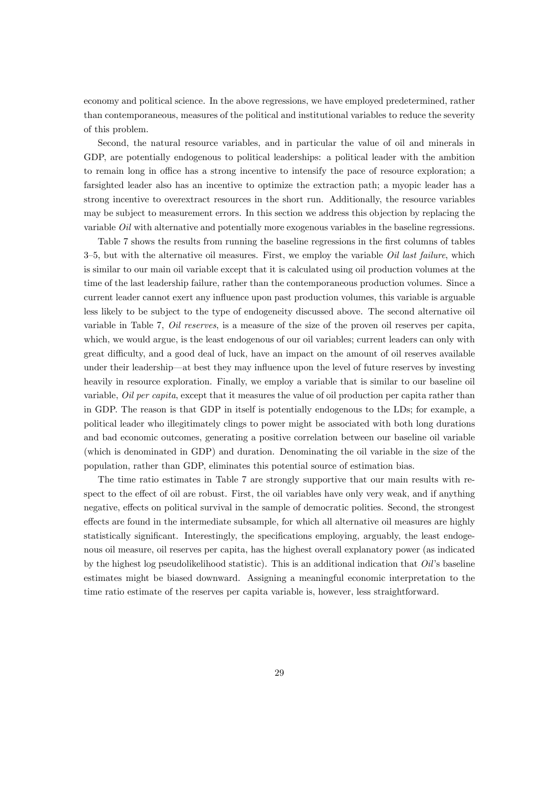economy and political science. In the above regressions, we have employed predetermined, rather than contemporaneous, measures of the political and institutional variables to reduce the severity of this problem.

Second, the natural resource variables, and in particular the value of oil and minerals in GDP, are potentially endogenous to political leaderships: a political leader with the ambition to remain long in office has a strong incentive to intensify the pace of resource exploration; a farsighted leader also has an incentive to optimize the extraction path; a myopic leader has a strong incentive to overextract resources in the short run. Additionally, the resource variables may be subject to measurement errors. In this section we address this objection by replacing the variable Oil with alternative and potentially more exogenous variables in the baseline regressions.

Table 7 shows the results from running the baseline regressions in the first columns of tables  $3-5$ , but with the alternative oil measures. First, we employ the variable *Oil last failure*, which is similar to our main oil variable except that it is calculated using oil production volumes at the time of the last leadership failure, rather than the contemporaneous production volumes. Since a current leader cannot exert any influence upon past production volumes, this variable is arguable less likely to be subject to the type of endogeneity discussed above. The second alternative oil variable in Table 7, *Oil reserves*, is a measure of the size of the proven oil reserves per capita, which, we would argue, is the least endogenous of our oil variables; current leaders can only with great difficulty, and a good deal of luck, have an impact on the amount of oil reserves available under their leadership—at best they may influence upon the level of future reserves by investing heavily in resource exploration. Finally, we employ a variable that is similar to our baseline oil variable, Oil per capita, except that it measures the value of oil production per capita rather than in GDP. The reason is that GDP in itself is potentially endogenous to the LDs; for example, a political leader who illegitimately clings to power might be associated with both long durations and bad economic outcomes, generating a positive correlation between our baseline oil variable (which is denominated in GDP) and duration. Denominating the oil variable in the size of the population, rather than GDP, eliminates this potential source of estimation bias.

The time ratio estimates in Table 7 are strongly supportive that our main results with respect to the effect of oil are robust. First, the oil variables have only very weak, and if anything negative, effects on political survival in the sample of democratic polities. Second, the strongest effects are found in the intermediate subsample, for which all alternative oil measures are highly statistically significant. Interestingly, the specifications employing, arguably, the least endogenous oil measure, oil reserves per capita, has the highest overall explanatory power (as indicated by the highest log pseudolikelihood statistic). This is an additional indication that  $Oil$ 's baseline estimates might be biased downward. Assigning a meaningful economic interpretation to the time ratio estimate of the reserves per capita variable is, however, less straightforward.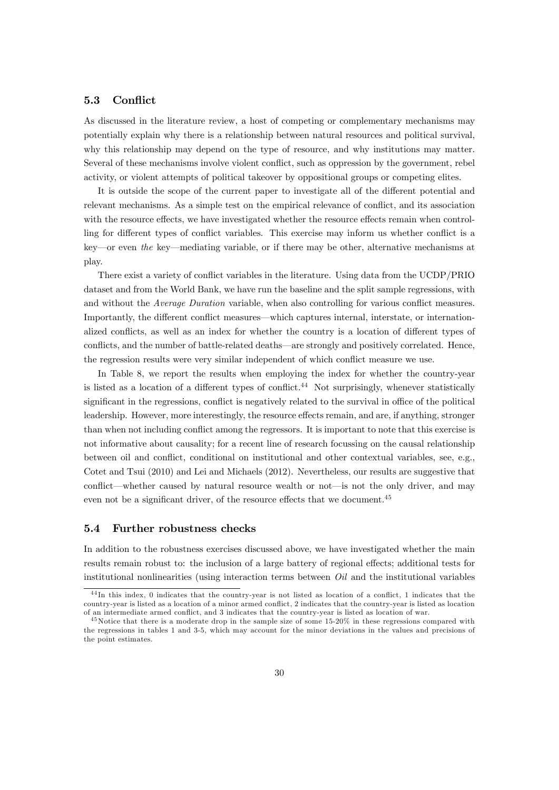#### 5.3 Conflict

As discussed in the literature review, a host of competing or complementary mechanisms may potentially explain why there is a relationship between natural resources and political survival, why this relationship may depend on the type of resource, and why institutions may matter. Several of these mechanisms involve violent conflict, such as oppression by the government, rebel activity, or violent attempts of political takeover by oppositional groups or competing elites.

It is outside the scope of the current paper to investigate all of the different potential and relevant mechanisms. As a simple test on the empirical relevance of conflict, and its association with the resource effects, we have investigated whether the resource effects remain when controlling for different types of conflict variables. This exercise may inform us whether conflict is a key—or even the key—mediating variable, or if there may be other, alternative mechanisms at play.

There exist a variety of conflict variables in the literature. Using data from the UCDP/PRIO dataset and from the World Bank, we have run the baseline and the split sample regressions, with and without the Average Duration variable, when also controlling for various conflict measures. Importantly, the different conflict measures—which captures internal, interstate, or internationalized conflicts, as well as an index for whether the country is a location of different types of conflicts, and the number of battle-related deaths—are strongly and positively correlated. Hence, the regression results were very similar independent of which conflict measure we use.

In Table 8, we report the results when employing the index for whether the country-year is listed as a location of a different types of conflict.<sup>44</sup> Not surprisingly, whenever statistically significant in the regressions, conflict is negatively related to the survival in office of the political leadership. However, more interestingly, the resource effects remain, and are, if anything, stronger than when not including conflict among the regressors. It is important to note that this exercise is not informative about causality; for a recent line of research focussing on the causal relationship between oil and conflict, conditional on institutional and other contextual variables, see, e.g., Cotet and Tsui (2010) and Lei and Michaels (2012). Nevertheless, our results are suggestive that conflict—whether caused by natural resource wealth or not—is not the only driver, and may even not be a significant driver, of the resource effects that we document.<sup>45</sup>

#### 5.4 Further robustness checks

In addition to the robustness exercises discussed above, we have investigated whether the main results remain robust to: the inclusion of a large battery of regional effects; additional tests for institutional nonlinearities (using interaction terms between *Oil* and the institutional variables

 $\frac{44 \text{In this index}}{10 \text{ indicates that the country-year is not listed as location of a conflict}, 1 indicates that the$  $countrv-year$  is listed as a location of a minor armed conflict. 2 indicates that the country-year is listed as location of an intermediate armed conflict, and 3 indicates that the country-year is listed as location of war.

<sup>&</sup>lt;sup>45</sup> Notice that there is a moderate drop in the sample size of some 15-20% in these regressions compared with the regressions in tables 1 and 3-5, which may account for the minor deviations in the values and precisions of the point estimates.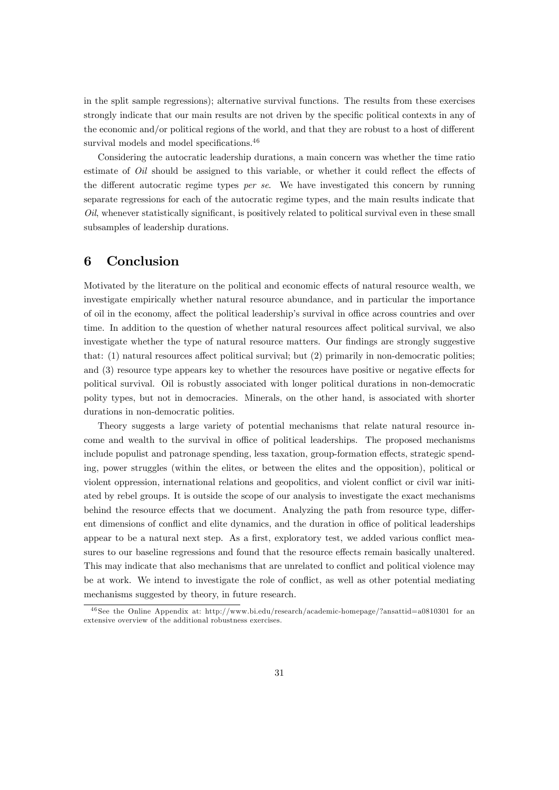in the split sample regressions); alternative survival functions. The results from these exercises strongly indicate that our main results are not driven by the specific political contexts in any of the economic and/or political regions of the world, and that they are robust to a host of different survival models and model specifications. $46$ 

Considering the autocratic leadership durations, a main concern was whether the time ratio estimate of  $Oil$  should be assigned to this variable, or whether it could reflect the effects of the different autocratic regime types per se. We have investigated this concern by running separate regressions for each of the autocratic regime types, and the main results indicate that  $Oil$ , whenever statistically significant, is positively related to political survival even in these small subsamples of leadership durations.

# 6 Conclusion

Motivated by the literature on the political and economic effects of natural resource wealth, we investigate empirically whether natural resource abundance, and in particular the importance of oil in the economy, affect the political leadership's survival in office across countries and over time. In addition to the question of whether natural resources affect political survival, we also investigate whether the type of natural resource matters. Our findings are strongly suggestive that:  $(1)$  natural resources affect political survival; but  $(2)$  primarily in non-democratic polities; and  $(3)$  resource type appears key to whether the resources have positive or negative effects for political survival. Oil is robustly associated with longer political durations in non-democratic polity types, but not in democracies. Minerals, on the other hand, is associated with shorter durations in non-democratic polities.

Theory suggests a large variety of potential mechanisms that relate natural resource income and wealth to the survival in office of political leaderships. The proposed mechanisms include populist and patronage spending, less taxation, group-formation effects, strategic spending, power struggles (within the elites, or between the elites and the opposition), political or violent oppression, international relations and geopolitics, and violent conáict or civil war initiated by rebel groups. It is outside the scope of our analysis to investigate the exact mechanisms behind the resource effects that we document. Analyzing the path from resource type, different dimensions of conflict and elite dynamics, and the duration in office of political leaderships appear to be a natural next step. As a first, exploratory test, we added various conflict measures to our baseline regressions and found that the resource effects remain basically unaltered. This may indicate that also mechanisms that are unrelated to conflict and political violence may be at work. We intend to investigate the role of conflict, as well as other potential mediating mechanisms suggested by theory, in future research.

<sup>4 6</sup> See the Online Appendix at: http://www.bi.edu/research/academic-homepage/?ansattid=a0810301 for an extensive overview of the additional robustness exercises.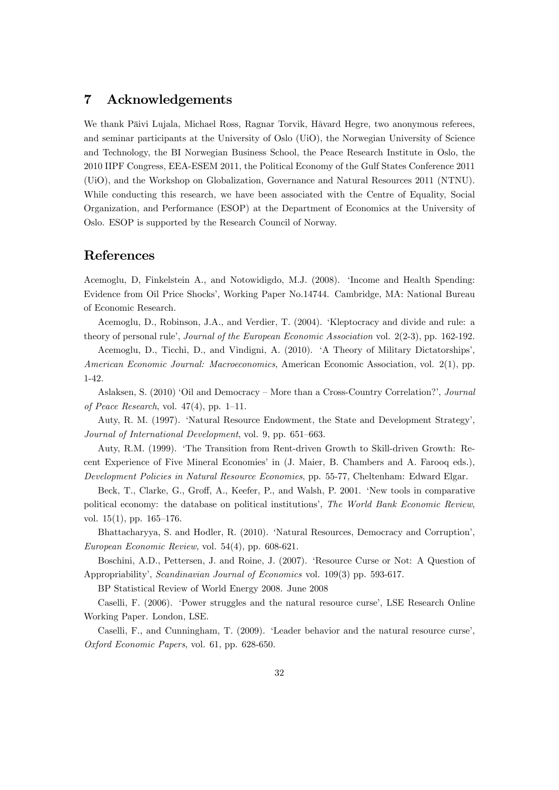# 7 Acknowledgements

We thank Päivi Lujala, Michael Ross, Ragnar Torvik, Håvard Hegre, two anonymous referees, and seminar participants at the University of Oslo (UiO), the Norwegian University of Science and Technology, the BI Norwegian Business School, the Peace Research Institute in Oslo, the 2010 IIPF Congress, EEA-ESEM 2011, the Political Economy of the Gulf States Conference 2011 (UiO), and the Workshop on Globalization, Governance and Natural Resources 2011 (NTNU). While conducting this research, we have been associated with the Centre of Equality, Social Organization, and Performance (ESOP) at the Department of Economics at the University of Oslo. ESOP is supported by the Research Council of Norway.

# References

Acemoglu, D, Finkelstein A., and Notowidigdo, M.J. (2008). ëIncome and Health Spending: Evidence from Oil Price Shocksí, Working Paper No.14744. Cambridge, MA: National Bureau of Economic Research.

Acemoglu, D., Robinson, J.A., and Verdier, T. (2004). ëKleptocracy and divide and rule: a theory of personal rule', *Journal of the European Economic Association* vol. 2(2-3), pp. 162-192.

Acemoglu, D., Ticchi, D., and Vindigni, A. (2010). ëA Theory of Military Dictatorshipsí, American Economic Journal: Macroeconomics, American Economic Association, vol. 2(1), pp. 1-42.

Aslaksen, S. (2010) 'Oil and Democracy – More than a Cross-Country Correlation?', Journal of Peace Research, vol.  $47(4)$ , pp. 1–11.

Auty, R. M. (1997). 'Natural Resource Endowment, the State and Development Strategy', Journal of International Development, vol. 9, pp. 651-663.

Auty, R.M. (1999). ëThe Transition from Rent-driven Growth to Skill-driven Growth: Recent Experience of Five Mineral Economiesí in (J. Maier, B. Chambers and A. Farooq eds.), Development Policies in Natural Resource Economies, pp. 55-77, Cheltenham: Edward Elgar.

Beck, T., Clarke, G., Groff, A., Keefer, P., and Walsh, P. 2001. 'New tools in comparative political economy: the database on political institutions', The World Bank Economic Review, vol.  $15(1)$ , pp.  $165-176$ .

Bhattacharyya, S. and Hodler, R. (2010). 'Natural Resources, Democracy and Corruption', European Economic Review, vol. 54(4), pp. 608-621.

Boschini, A.D., Pettersen, J. and Roine, J. (2007). ëResource Curse or Not: A Question of Appropriability', Scandinavian Journal of Economics vol. 109(3) pp. 593-617.

BP Statistical Review of World Energy 2008. June 2008

Caselli, F. (2006). 'Power struggles and the natural resource curse', LSE Research Online Working Paper. London, LSE.

Caselli, F., and Cunningham, T. (2009). 'Leader behavior and the natural resource curse', Oxford Economic Papers, vol. 61, pp. 628-650.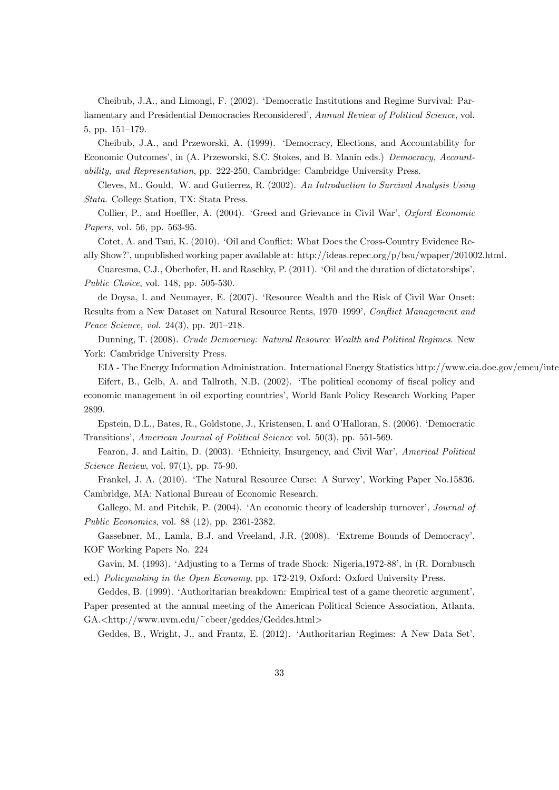Cheibub, J.A., and Limongi, F. (2002). ëDemocratic Institutions and Regime Survival: Parliamentary and Presidential Democracies Reconsidered', Annual Review of Political Science, vol. 5, pp. 151-179.

Cheibub, J.A., and Przeworski, A. (1999). ëDemocracy, Elections, and Accountability for Economic Outcomesí, in (A. Przeworski, S.C. Stokes, and B. Manin eds.) Democracy, Accountability, and Representation, pp. 222-250, Cambridge: Cambridge University Press.

Cleves, M., Gould, W. and Gutierrez, R. (2002). An Introduction to Survival Analysis Using Stata. College Station, TX: Stata Press.

Collier, P., and Hoeffler, A. (2004). 'Greed and Grievance in Civil War', Oxford Economic Papers, vol. 56, pp. 563-95.

Cotet, A. and Tsui, K. (2010). 'Oil and Conflict: What Does the Cross-Country Evidence Really Show?í, unpublished working paper available at: http://ideas.repec.org/p/bsu/wpaper/201002.html.

Cuaresma, C.J., Oberhofer, H. and Raschky, P. (2011). 'Oil and the duration of dictatorships', Public Choice, vol. 148, pp. 505-530.

de Doysa, I. and Neumayer, E. (2007). ëResource Wealth and the Risk of Civil War Onset; Results from a New Dataset on Natural Resource Rents, 1970–1999*′, Conflict Management and* Peace Science, vol.  $24(3)$ , pp.  $201-218$ .

Dunning, T. (2008). Crude Democracy: Natural Resource Wealth and Political Regimes. New York: Cambridge University Press.

EIA - The Energy Information Administration. International Energy Statistics http://www.eia.doe.gov/emeu/inte

Eifert, B., Gelb, A. and Tallroth, N.B. (2002). 'The political economy of fiscal policy and economic management in oil exporting countriesí, World Bank Policy Research Working Paper 2899.

Epstein, D.L., Bates, R., Goldstone, J., Kristensen, I. and O'Halloran, S. (2006). 'Democratic Transitions', American Journal of Political Science vol. 50(3), pp. 551-569.

Fearon, J. and Laitin, D. (2003). 'Ethnicity, Insurgency, and Civil War', Americal Political Science Review, vol. 97(1), pp. 75-90.

Frankel, J. A. (2010). ëThe Natural Resource Curse: A Surveyí, Working Paper No.15836. Cambridge, MA: National Bureau of Economic Research.

Gallego, M. and Pitchik, P. (2004). 'An economic theory of leadership turnover', Journal of Public Economics, vol. 88 (12), pp. 2361-2382.

Gassebner, M., Lamla, B.J. and Vreeland, J.R. (2008). 'Extreme Bounds of Democracy', KOF Working Papers No. 224

Gavin, M. (1993). 'Adjusting to a Terms of trade Shock: Nigeria, 1972-88', in (R. Dornbusch ed.) Policymaking in the Open Economy, pp. 172-219, Oxford: Oxford University Press.

Geddes, B. (1999). 'Authoritarian breakdown: Empirical test of a game theoretic argument', Paper presented at the annual meeting of the American Political Science Association, Atlanta, GA.<http://www.uvm.edu/~cbeer/geddes/Geddes.html>

Geddes, B., Wright, J., and Frantz, E. (2012). 'Authoritarian Regimes: A New Data Set',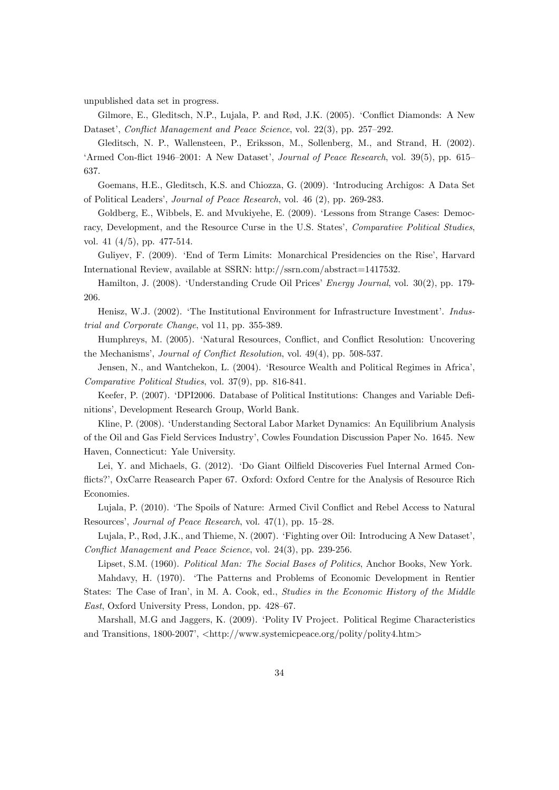unpublished data set in progress.

Gilmore, E., Gleditsch, N.P., Lujala, P. and  $R\phi d$ , J.K. (2005). 'Conflict Diamonds: A New Dataset', Conflict Management and Peace Science, vol. 22(3), pp. 257–292.

Gleditsch, N. P., Wallensteen, P., Eriksson, M., Sollenberg, M., and Strand, H. (2002). 'Armed Con-flict 1946–2001: A New Dataset', Journal of Peace Research, vol. 39(5), pp. 615– 637.

Goemans, H.E., Gleditsch, K.S. and Chiozza, G. (2009). ëIntroducing Archigos: A Data Set of Political Leaders', Journal of Peace Research, vol. 46 (2), pp. 269-283.

Goldberg, E., Wibbels, E. and Mvukiyehe, E. (2009). ëLessons from Strange Cases: Democracy, Development, and the Resource Curse in the U.S. States', Comparative Political Studies, vol. 41 (4/5), pp. 477-514.

Guliyev, F. (2009). 'End of Term Limits: Monarchical Presidencies on the Rise', Harvard International Review, available at SSRN: http://ssrn.com/abstract=1417532.

Hamilton, J. (2008). 'Understanding Crude Oil Prices' *Energy Journal*, vol. 30(2), pp. 179-206.

Henisz, W.J. (2002). 'The Institutional Environment for Infrastructure Investment'. Industrial and Corporate Change, vol 11, pp. 355-389.

Humphreys, M. (2005). 'Natural Resources, Conflict, and Conflict Resolution: Uncovering the Mechanisms', *Journal of Conflict Resolution*, vol. 49(4), pp. 508-537.

Jensen, N., and Wantchekon, L. (2004). 'Resource Wealth and Political Regimes in Africa', Comparative Political Studies, vol. 37(9), pp. 816-841.

Keefer, P. (2007). ëDPI2006. Database of Political Institutions: Changes and Variable DeÖnitions', Development Research Group, World Bank.

Kline, P. (2008). ëUnderstanding Sectoral Labor Market Dynamics: An Equilibrium Analysis of the Oil and Gas Field Services Industryí, Cowles Foundation Discussion Paper No. 1645. New Haven, Connecticut: Yale University.

Lei, Y. and Michaels, G. (2012). 'Do Giant Oilfield Discoveries Fuel Internal Armed Conflicts?'. OxCarre Reasearch Paper 67. Oxford: Oxford Centre for the Analysis of Resource Rich Economies.

Lujala, P. (2010). 'The Spoils of Nature: Armed Civil Conflict and Rebel Access to Natural Resources', *Journal of Peace Research*, vol.  $47(1)$ , pp.  $15-28$ .

Lujala, P., Rød, J.K., and Thieme, N. (2007). 'Fighting over Oil: Introducing A New Dataset', Conflict Management and Peace Science, vol. 24(3), pp. 239-256.

Lipset, S.M. (1960). Political Man: The Social Bases of Politics, Anchor Books, New York.

Mahdavy, H. (1970). ëThe Patterns and Problems of Economic Development in Rentier States: The Case of Iran', in M. A. Cook, ed., *Studies in the Economic History of the Middle* East, Oxford University Press, London, pp. 428–67.

Marshall, M.G and Jaggers, K. (2009). 'Polity IV Project. Political Regime Characteristics and Transitions,  $1800-2007$ ,  $\langle \text{http://www.systemicpeace.org/polity/polity4.htm>}$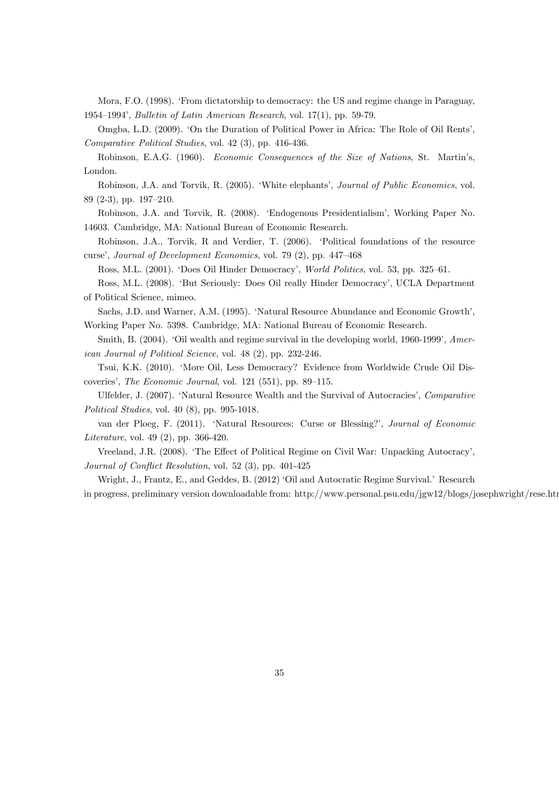Mora, F.O. (1998). ëFrom dictatorship to democracy: the US and regime change in Paraguay, 1954–1994′, Bulletin of Latin American Research, vol. 17(1), pp. 59-79.

Omgba, L.D. (2009). 'On the Duration of Political Power in Africa: The Role of Oil Rents', Comparative Political Studies, vol. 42 (3), pp. 416-436.

Robinson, E.A.G. (1960). Economic Consequences of the Size of Nations, St. Martinís, London.

Robinson, J.A. and Torvik, R. (2005). 'White elephants', *Journal of Public Economics*, vol. 89 (2-3), pp. 197–210.

Robinson, J.A. and Torvik, R. (2008). ëEndogenous Presidentialismí, Working Paper No. 14603. Cambridge, MA: National Bureau of Economic Research.

Robinson, J.A., Torvik, R and Verdier, T. (2006). ëPolitical foundations of the resource curse', Journal of Development Economics, vol. 79 $(2)$ , pp. 447–468

Ross, M.L. (2001). 'Does Oil Hinder Democracy', World Politics, vol. 53, pp. 325-61.

Ross, M.L. (2008). 'But Seriously: Does Oil really Hinder Democracy', UCLA Department of Political Science, mimeo.

Sachs, J.D. and Warner, A.M. (1995). 'Natural Resource Abundance and Economic Growth', Working Paper No. 5398. Cambridge, MA: National Bureau of Economic Research.

Smith, B.  $(2004)$ . 'Oil wealth and regime survival in the developing world, 1960-1999', American Journal of Political Science, vol. 48 (2), pp. 232-246.

Tsui, K.K. (2010). 'More Oil, Less Democracy? Evidence from Worldwide Crude Oil Discoveries', The Economic Journal, vol. 121 (551), pp. 89–115.

Ulfelder, J. (2007). 'Natural Resource Wealth and the Survival of Autocracies', Comparative Political Studies, vol. 40 (8), pp. 995-1018.

van der Ploeg, F. (2011). 'Natural Resources: Curse or Blessing?', Journal of Economic Literature, vol. 49 (2), pp. 366-420.

Vreeland, J.R. (2008). 'The Effect of Political Regime on Civil War: Unpacking Autocracy', Journal of Conflict Resolution, vol. 52  $(3)$ , pp. 401-425

Wright, J., Frantz, E., and Geddes, B. (2012) 'Oil and Autocratic Regime Survival.' Research

in progress, preliminary version downloadable from: http://www.personal.psu.edu/jgw12/blogs/josephwright/rese.htm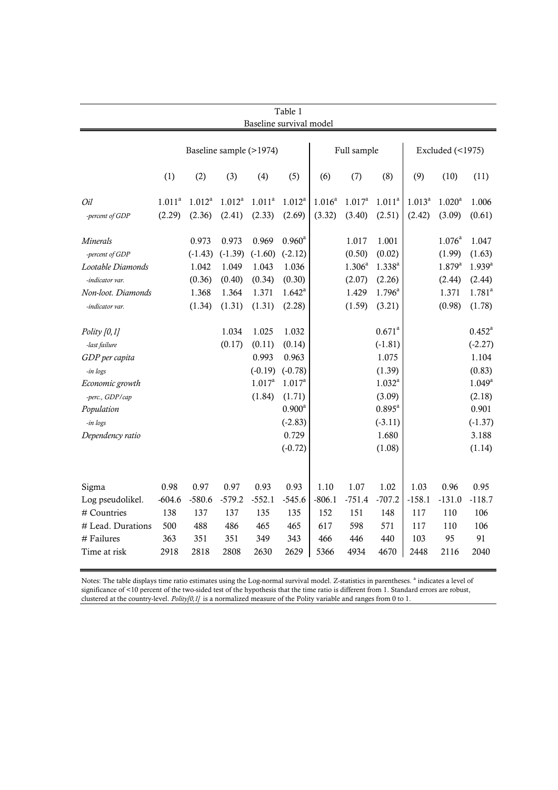| Table 1<br>Baseline survival model |                         |           |           |             |                    |             |                    |                        |             |                    |                    |
|------------------------------------|-------------------------|-----------|-----------|-------------|--------------------|-------------|--------------------|------------------------|-------------|--------------------|--------------------|
|                                    | Baseline sample (>1974) |           |           |             |                    | Full sample |                    | Excluded $($ <1975 $)$ |             |                    |                    |
|                                    | (1)                     | (2)       | (3)       | (4)         | (5)                | (6)         | (7)                | (8)                    | (9)         | (10)               | (11)               |
| Oil                                | 1.011 <sup>a</sup>      | $1.012^a$ | $1.012^a$ | $1.011^a$   | $1.012^a$          | $1.016^{a}$ | 1.017 <sup>a</sup> | 1.011 <sup>a</sup>     | $1.013^{a}$ | $1.020^a$          | 1.006              |
| -percent of GDP                    | (2.29)                  | (2.36)    | (2.41)    | (2.33)      | (2.69)             | (3.32)      | (3.40)             | (2.51)                 | (2.42)      | (3.09)             | (0.61)             |
| Minerals                           |                         | 0.973     | 0.973     | 0.969       | $0.960^{\text{a}}$ |             | 1.017              | 1.001                  |             | $1.076^{\text{a}}$ | 1.047              |
| -percent of GDP                    |                         | $(-1.43)$ | $(-1.39)$ | $(-1.60)$   | $(-2.12)$          |             | (0.50)             | (0.02)                 |             | (1.99)             | (1.63)             |
| Lootable Diamonds                  |                         | 1.042     | 1.049     | 1.043       | 1.036              |             | $1.306^{a}$        | $1.338^{a}$            |             | $1.879^{a}$        | $1.939^{a}$        |
| -indicator var.                    |                         | (0.36)    | (0.40)    | (0.34)      | (0.30)             |             | (2.07)             | (2.26)                 |             | (2.44)             | (2.44)             |
| Non-loot. Diamonds                 |                         | 1.368     | 1.364     | 1.371       | $1.642^a$          |             | 1.429              | $1.796^{\text{a}}$     |             | 1.371              | $1.781^{a}$        |
| -indicator var.                    |                         | (1.34)    | (1.31)    | (1.31)      | (2.28)             |             | (1.59)             | (3.21)                 |             | (0.98)             | (1.78)             |
| Polity $[0,1]$                     |                         |           | 1.034     | 1.025       | 1.032              |             |                    | $0.671^a$              |             |                    | $0.452^{\text{a}}$ |
| -last failure                      |                         |           | (0.17)    | (0.11)      | (0.14)             |             |                    | $(-1.81)$              |             |                    | $(-2.27)$          |
| GDP per capita                     |                         |           |           | 0.993       | 0.963              |             |                    | 1.075                  |             |                    | 1.104              |
| -in logs                           |                         |           |           | $(-0.19)$   | $(-0.78)$          |             |                    | (1.39)                 |             |                    | (0.83)             |
| Economic growth                    |                         |           |           | $1.017^{a}$ | $1.017^a$          |             |                    | $1.032^{a}$            |             |                    | $1.049^{a}$        |
| -perc., GDP/cap                    |                         |           |           | (1.84)      | (1.71)             |             |                    | (3.09)                 |             |                    | (2.18)             |
| Population                         |                         |           |           |             | $0.900^a$          |             |                    | $0.895^{\text{a}}$     |             |                    | 0.901              |
| -in logs                           |                         |           |           |             | $(-2.83)$          |             |                    | $(-3.11)$              |             |                    | $(-1.37)$          |
| Dependency ratio                   |                         |           |           |             | 0.729              |             |                    | 1.680                  |             |                    | 3.188              |
|                                    |                         |           |           |             | $(-0.72)$          |             |                    | (1.08)                 |             |                    | (1.14)             |
|                                    |                         |           |           |             |                    |             |                    |                        |             |                    |                    |
| Sigma                              | 0.98                    | 0.97      | 0.97      | 0.93        | 0.93               | 1.10        | 1.07               | 1.02                   | 1.03        | 0.96               | 0.95               |
| Log pseudolikel.                   | $-604.6$                | $-580.6$  | $-579.2$  | $-552.1$    | $-545.6$           | $-806.1$    | $-751.4$           | $-707.2$               | $-158.1$    | $-131.0$           | $-118.7$           |
| # Countries                        | 138                     | 137       | 137       | 135         | 135                | 152         | 151                | 148                    | 117         | 110                | 106                |
| # Lead. Durations                  | 500                     | 488       | 486       | 465         | 465                | 617         | 598                | 571                    | 117         | 110                | 106                |
| # Failures                         | 363                     | 351       | 351       | 349         | 343                | 466         | 446                | 440                    | 103         | 95                 | 91                 |
| Time at risk                       | 2918                    | 2818      | 2808      | 2630        | 2629               | 5366        | 4934               | 4670                   | 2448        | 2116               | 2040               |

Notes: The table displays time ratio estimates using the Log-normal survival model. Z-statistics in parentheses. <sup>a</sup> indicates a level of significance of <10 percent of the two-sided test of the hypothesis that the time ratio is different from 1. Standard errors are robust, clustered at the country-level. *Polity[0,1]* is a normalized measure of the Polity variable and ranges from 0 to 1.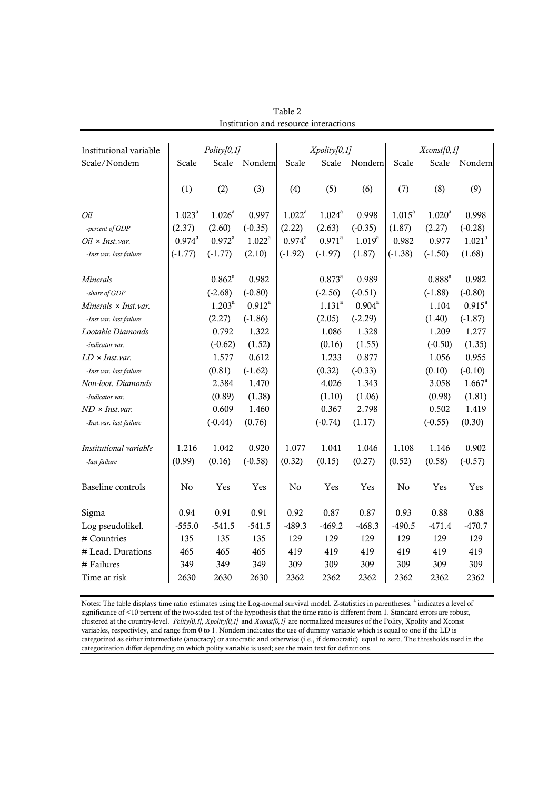|                              |                    |                    |                                       | Table 2     |             |                    |           |                   |                      |  |
|------------------------------|--------------------|--------------------|---------------------------------------|-------------|-------------|--------------------|-----------|-------------------|----------------------|--|
|                              |                    |                    | Institution and resource interactions |             |             |                    |           |                   |                      |  |
|                              |                    |                    |                                       |             |             |                    |           |                   |                      |  |
| Institutional variable       | Polity[0,1]        |                    |                                       |             | Xpoly[0,1]  |                    |           | $X$ const $[0,1]$ |                      |  |
| Scale/Nondem                 | Scale              | Scale              | Nondem                                | Scale       | Scale       | Nondem             | Scale     | Scale             | Nondem               |  |
|                              |                    |                    |                                       |             |             |                    |           |                   |                      |  |
|                              | (1)                | (2)                | (3)                                   | (4)         | (5)         | (6)                | (7)       | (8)               | (9)                  |  |
| Oil                          | 1.023 <sup>a</sup> | $1.026^a$          | 0.997                                 | $1.022^a$   | $1.024^a$   | 0.998              | $1.015^a$ | $1.020^a$         | 0.998                |  |
| -percent of GDP              | (2.37)             | (2.60)             | $(-0.35)$                             | (2.22)      | (2.63)      | $(-0.35)$          | (1.87)    | (2.27)            | $(-0.28)$            |  |
| $Oil \times Inst.var.$       | $0.974^{\text{a}}$ | $0.972^{\text{a}}$ | $1.022^a$                             | $0.974^{a}$ | $0.971^a$   | $1.019^{a}$        | 0.982     | 0.977             | 1.021 <sup>a</sup>   |  |
| -Inst.var. last failure      | $(-1.77)$          | $(-1.77)$          | (2.10)                                | $(-1.92)$   | $(-1.97)$   | (1.87)             | $(-1.38)$ | $(-1.50)$         | (1.68)               |  |
| Minerals                     |                    | $0.862^{\text{a}}$ | 0.982                                 |             | $0.873^{a}$ | 0.989              |           | $0.888^{a}$       | 0.982                |  |
| -share of GDP                |                    | $(-2.68)$          | $(-0.80)$                             |             | $(-2.56)$   | $(-0.51)$          |           | $(-1.88)$         | $(-0.80)$            |  |
| Minerals $\times$ Inst. var. |                    | $1.203^a$          | $0.912^a$                             |             | $1.131^{a}$ | $0.904^{\text{a}}$ |           | 1.104             | $0.915^a$            |  |
| -Inst.var. last failure      |                    | (2.27)             | $(-1.86)$                             |             | (2.05)      | $(-2.29)$          |           | (1.40)            | $(-1.87)$            |  |
| Lootable Diamonds            |                    | 0.792              | 1.322                                 |             | 1.086       | 1.328              |           | 1.209             | 1.277                |  |
| -indicator var.              |                    | $(-0.62)$          | (1.52)                                |             | (0.16)      | (1.55)             |           | $(-0.50)$         | (1.35)               |  |
| $LD \times Inst.var$ .       |                    | 1.577              | 0.612                                 |             | 1.233       | 0.877              |           | 1.056             | 0.955                |  |
| -Inst.var. last failure      |                    | (0.81)             | $(-1.62)$                             |             | (0.32)      | $(-0.33)$          |           | (0.10)            | $(-0.10)$            |  |
| Non-loot. Diamonds           |                    | 2.384              | 1.470                                 |             | 4.026       | 1.343              |           | 3.058             | $1.667$ <sup>a</sup> |  |
| -indicator var.              |                    | (0.89)             | (1.38)                                |             | (1.10)      | (1.06)             |           | (0.98)            | (1.81)               |  |
| $ND \times Inst.var$ .       |                    | 0.609              | 1.460                                 |             | 0.367       | 2.798              |           | 0.502             | 1.419                |  |
| -Inst.var. last failure      |                    | $(-0.44)$          | (0.76)                                |             | $(-0.74)$   | (1.17)             |           | $(-0.55)$         | (0.30)               |  |
| Institutional variable       | 1.216              | 1.042              | 0.920                                 | 1.077       | 1.041       | 1.046              | 1.108     | 1.146             | 0.902                |  |
| -last failure                | (0.99)             | (0.16)             | $(-0.58)$                             | (0.32)      | (0.15)      | (0.27)             | (0.52)    | (0.58)            | $(-0.57)$            |  |
|                              |                    |                    |                                       |             |             |                    |           |                   |                      |  |
| Baseline controls            | No                 | Yes                | Yes                                   | No          | Yes         | Yes                | No        | Yes               | Yes                  |  |
| Sigma                        | 0.94               | 0.91               | 0.91                                  | 0.92        | 0.87        | 0.87               | 0.93      | 0.88              | 0.88                 |  |
| Log pseudolikel.             | $-555.0$           | $-541.5$           | $-541.5$                              | $-489.3$    | $-469.2$    | $-468.3$           | $-490.5$  | $-471.4$          | $-470.7$             |  |
| # Countries                  | 135                | 135                | 135                                   | 129         | 129         | 129                | 129       | 129               | 129                  |  |
| # Lead. Durations            | 465                | 465                | 465                                   | 419         | 419         | 419                | 419       | 419               | 419                  |  |
| # Failures                   | 349                | 349                | 349                                   | 309         | 309         | 309                | 309       | 309               | 309                  |  |
| Time at risk                 | 2630               | 2630               | 2630                                  | 2362        | 2362        | 2362               | 2362      | 2362              | 2362                 |  |

Notes: The table displays time ratio estimates using the Log-normal survival model. Z-statistics in parentheses. <sup>a</sup> indicates a level of significance of <10 percent of the two-sided test of the hypothesis that the time ratio is different from 1. Standard errors are robust, clustered at the country-level. *Polity[0,1], Xpolity[0,1]* and *Xconst[0,1]* are normalized measures of the Polity, Xpolity and Xconst variables, respectivley, and range from 0 to 1. Nondem indicates the use of dummy variable which is equal to one if the LD is categorized as either intermediate (anocracy) or autocratic and otherwise (i.e., if democratic) equal to zero. The thresholds used in the categorization differ depending on which polity variable is used; see the main text for definitions.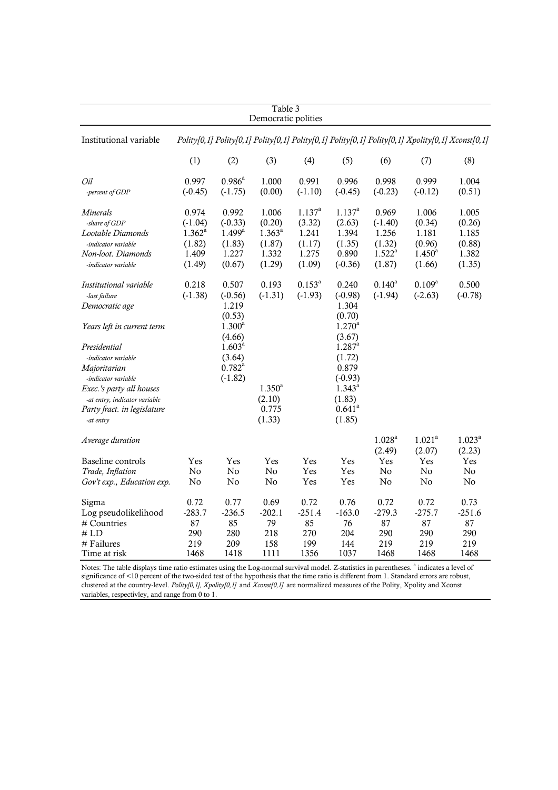| Table 3<br>Democratic polities                                                                                                                                                                                                                       |                                                                             |                                                                                                          |                                                                      |                                                                            |                                                                                                                                                             |                                                                           |                                                                                                  |                                                                |  |
|------------------------------------------------------------------------------------------------------------------------------------------------------------------------------------------------------------------------------------------------------|-----------------------------------------------------------------------------|----------------------------------------------------------------------------------------------------------|----------------------------------------------------------------------|----------------------------------------------------------------------------|-------------------------------------------------------------------------------------------------------------------------------------------------------------|---------------------------------------------------------------------------|--------------------------------------------------------------------------------------------------|----------------------------------------------------------------|--|
| Institutional variable                                                                                                                                                                                                                               |                                                                             |                                                                                                          |                                                                      |                                                                            |                                                                                                                                                             |                                                                           | Polity[0,1] Polity[0,1] Polity[0,1] Polity[0,1] Polity[0,1] Polity[0,1] Xpolity[0,1] Xconst[0,1] |                                                                |  |
|                                                                                                                                                                                                                                                      | (1)                                                                         | (2)                                                                                                      | (3)                                                                  | (4)                                                                        | (5)                                                                                                                                                         | (6)                                                                       | (7)                                                                                              | (8)                                                            |  |
| Oil<br>-percent of GDP                                                                                                                                                                                                                               | 0.997<br>$(-0.45)$                                                          | $0.986^{\text{a}}$<br>$(-1.75)$                                                                          | 1.000<br>(0.00)                                                      | 0.991<br>$(-1.10)$                                                         | 0.996<br>$(-0.45)$                                                                                                                                          | 0.998<br>$(-0.23)$                                                        | 0.999<br>$(-0.12)$                                                                               | 1.004<br>(0.51)                                                |  |
| Minerals<br>-share of GDP<br>Lootable Diamonds<br>-indicator variable<br>Non-loot. Diamonds<br>-indicator variable<br>Institutional variable                                                                                                         | 0.974<br>$(-1.04)$<br>$1.362^{\rm a}$<br>(1.82)<br>1.409<br>(1.49)<br>0.218 | 0.992<br>$(-0.33)$<br>$1.499^{\rm a}$<br>(1.83)<br>1.227<br>(0.67)<br>0.507                              | 1.006<br>(0.20)<br>$1.363^{a}$<br>(1.87)<br>1.332<br>(1.29)<br>0.193 | $1.137^{a}$<br>(3.32)<br>1.241<br>(1.17)<br>1.275<br>(1.09)<br>$0.153^{a}$ | $1.137^{a}$<br>(2.63)<br>1.394<br>(1.35)<br>0.890<br>$(-0.36)$<br>0.240                                                                                     | 0.969<br>$(-1.40)$<br>1.256<br>(1.32)<br>$1.522^a$<br>(1.87)<br>$0.140^a$ | 1.006<br>(0.34)<br>1.181<br>(0.96)<br>$1.450^{\rm a}$<br>(1.66)<br>$0.109^{a}$                   | 1.005<br>(0.26)<br>1.185<br>(0.88)<br>1.382<br>(1.35)<br>0.500 |  |
| -last failure<br>Democratic age<br>Years left in current term<br>Presidential<br>-indicator variable<br>Majoritarian<br>-indicator variable<br>Exec.'s party all houses<br>-at entry, indicator variable<br>Party fract. in legislature<br>-at entry | $(-1.38)$                                                                   | $(-0.56)$<br>1.219<br>(0.53)<br>$1.300^a$<br>(4.66)<br>$1.603^{a}$<br>(3.64)<br>$0.782^{a}$<br>$(-1.82)$ | $(-1.31)$<br>$1.350^{a}$<br>(2.10)<br>0.775<br>(1.33)                | $(-1.93)$                                                                  | $(-0.98)$<br>1.304<br>(0.70)<br>$1.270^a$<br>(3.67)<br>$1.287$ <sup>a</sup><br>(1.72)<br>0.879<br>$(-0.93)$<br>$1.343^{a}$<br>(1.83)<br>$0.641^a$<br>(1.85) | $(-1.94)$                                                                 | $(-2.63)$                                                                                        | $(-0.78)$                                                      |  |
| Average duration<br>Baseline controls<br>Trade, Inflation<br>Gov't exp., Education exp.                                                                                                                                                              | Yes<br>No<br>No                                                             | Yes<br>No<br>No                                                                                          | Yes<br>No<br>No                                                      | Yes<br>Yes<br>Yes                                                          | Yes<br>Yes<br>Yes                                                                                                                                           | $1.028^{a}$<br>(2.49)<br>Yes<br>No<br>No                                  | 1.021 <sup>a</sup><br>(2.07)<br>Yes<br>No.<br>No                                                 | $1.023^a$<br>(2.23)<br>Yes<br>No<br>No                         |  |
| Sigma<br>Log pseudolikelihood<br># Countries<br>#LD<br># Failures<br>Time at risk                                                                                                                                                                    | 0.72<br>$-283.7$<br>87<br>290<br>219<br>1468                                | 0.77<br>$-236.5$<br>85<br>280<br>209<br>1418                                                             | 0.69<br>$-202.1$<br>79<br>218<br>158<br>1111                         | 0.72<br>$-251.4$<br>85<br>270<br>199<br>1356                               | 0.76<br>$-163.0$<br>76<br>204<br>144<br>1037                                                                                                                | 0.72<br>$-279.3$<br>87<br>290<br>219<br>1468                              | 0.72<br>$-275.7$<br>87<br>290<br>219<br>1468                                                     | 0.73<br>$-251.6$<br>87<br>290<br>219<br>1468                   |  |

Notes: The table displays time ratio estimates using the Log-normal survival model. Z-statistics in parentheses. <sup>a</sup> indicates a level of significance of <10 percent of the two-sided test of the hypothesis that the time ratio is different from 1. Standard errors are robust, clustered at the country-level. *Polity[0,1], Xpolity[0,1]* and *Xconst[0,1]* are normalized measures of the Polity, Xpolity and Xconst variables, respectivley, and range from 0 to 1.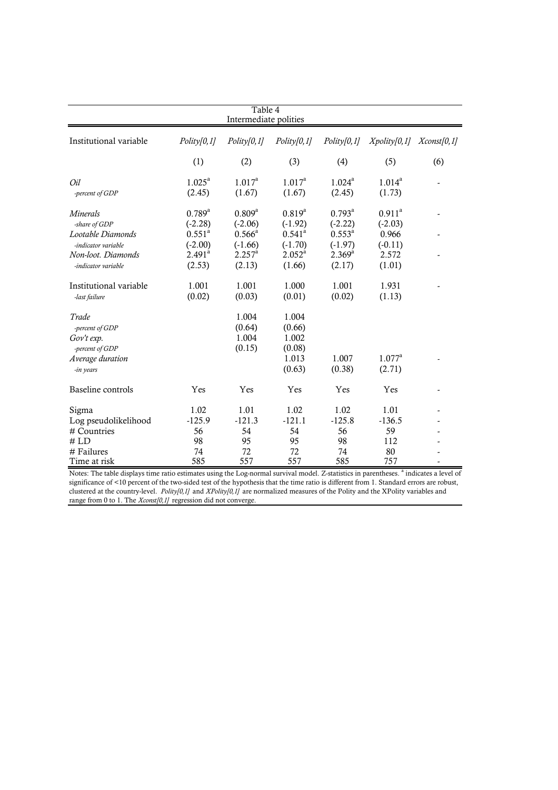|                        | Table 4<br>Intermediate polities |                    |                 |                    |                    |                   |  |  |  |  |  |
|------------------------|----------------------------------|--------------------|-----------------|--------------------|--------------------|-------------------|--|--|--|--|--|
| Institutional variable | Polity[0,1]                      | Polity[0,1]        | Polity[0,1]     | Polity[0,1]        | Xpoly[0,1]         | $X$ const $[0,1]$ |  |  |  |  |  |
|                        |                                  |                    |                 |                    |                    |                   |  |  |  |  |  |
|                        | (1)                              | (2)                | (3)             | (4)                | (5)                | (6)               |  |  |  |  |  |
| Oil                    | $1.025^{\text{a}}$               | $1.017^a$          | $1.017^a$       | $1.024^{\text{a}}$ | $1.014^{a}$        |                   |  |  |  |  |  |
| -percent of GDP        | (2.45)                           | (1.67)             | (1.67)          | (2.45)             | (1.73)             |                   |  |  |  |  |  |
| Minerals               | $0.789^{a}$                      | $0.809^{a}$        | $0.819^{a}$     | $0.793^{\text{a}}$ | $0.911^a$          |                   |  |  |  |  |  |
| -share of GDP          | $(-2.28)$                        | $(-2.06)$          | $(-1.92)$       | $(-2.22)$          | $(-2.03)$          |                   |  |  |  |  |  |
| Lootable Diamonds      | $0.551^{\text{a}}$               | $0.566^{\circ}$    | $0.541^{\circ}$ | $0.553^{a}$        | 0.966              |                   |  |  |  |  |  |
| -indicator variable    | $(-2.00)$                        | $(-1.66)$          | $(-1.70)$       | $(-1.97)$          | $(-0.11)$          |                   |  |  |  |  |  |
| Non-loot. Diamonds     | 2.491 <sup>a</sup>               | $2.257^{\text{a}}$ | $2.052^a$       | $2.369^{a}$        | 2.572              |                   |  |  |  |  |  |
| -indicator variable    | (2.53)                           | (2.13)             | (1.66)          | (2.17)             | (1.01)             |                   |  |  |  |  |  |
| Institutional variable | 1.001                            | 1.001              | 1.000           | 1.001              | 1.931              |                   |  |  |  |  |  |
| -last failure          | (0.02)                           | (0.03)             | (0.01)          | (0.02)             | (1.13)             |                   |  |  |  |  |  |
| Trade                  |                                  | 1.004              | 1.004           |                    |                    |                   |  |  |  |  |  |
| -percent of GDP        |                                  | (0.64)             | (0.66)          |                    |                    |                   |  |  |  |  |  |
| Gov't exp.             |                                  | 1.004              | 1.002           |                    |                    |                   |  |  |  |  |  |
| -percent of GDP        |                                  | (0.15)             | (0.08)          |                    |                    |                   |  |  |  |  |  |
| Average duration       |                                  |                    | 1.013           | 1.007              | $1.077^{\text{a}}$ |                   |  |  |  |  |  |
| -in years              |                                  |                    | (0.63)          | (0.38)             | (2.71)             |                   |  |  |  |  |  |
| Baseline controls      | Yes                              | Yes                | Yes             | Yes                | Yes                |                   |  |  |  |  |  |
| Sigma                  | 1.02                             | 1.01               | 1.02            | 1.02               | 1.01               |                   |  |  |  |  |  |
| Log pseudolikelihood   | $-125.9$                         | $-121.3$           | $-121.1$        | $-125.8$           | $-136.5$           |                   |  |  |  |  |  |
| # Countries            | 56                               | 54                 | 54              | 56                 | 59                 |                   |  |  |  |  |  |
| # LD                   | 98                               | 95                 | 95              | 98                 | 112                |                   |  |  |  |  |  |
| # Failures             | 74                               | 72                 | 72              | 74                 | 80                 |                   |  |  |  |  |  |
| Time at risk           | 585                              | 557                | 557             | 585                | 757                |                   |  |  |  |  |  |

Notes: The table displays time ratio estimates using the Log-normal survival model. Z-statistics in parentheses. <sup>a</sup> indicates a level of significance of <10 percent of the two-sided test of the hypothesis that the time ratio is different from 1. Standard errors are robust, clustered at the country-level. *Polity[0,1]* and *XPolity[0,1]* are normalized measures of the Polity and the XPolity variables and range from 0 to 1. The *Xconst[0,1]* regression did not converge.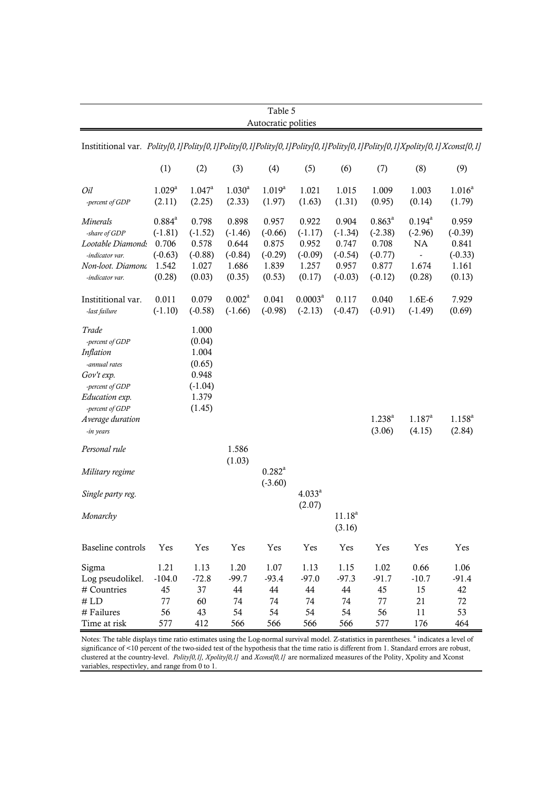|                                                                                                                                                               | (1)                                                               |                                                                             |                                                             | Autocratic polities                                         |                                                             |                                                                |                                                                          |                                                          |                                                             |  |  |
|---------------------------------------------------------------------------------------------------------------------------------------------------------------|-------------------------------------------------------------------|-----------------------------------------------------------------------------|-------------------------------------------------------------|-------------------------------------------------------------|-------------------------------------------------------------|----------------------------------------------------------------|--------------------------------------------------------------------------|----------------------------------------------------------|-------------------------------------------------------------|--|--|
| Instititional var. Polity[0,1]Polity[0,1]Polity[0,1]Polity[0,1]Polity[0,1]Polity[0,1]Polity[0,1]Xpolity[0,1]Xconst[0,1]                                       |                                                                   |                                                                             |                                                             |                                                             |                                                             |                                                                |                                                                          |                                                          |                                                             |  |  |
|                                                                                                                                                               |                                                                   | (2)                                                                         | (3)                                                         | (4)                                                         | (5)                                                         | (6)                                                            | (7)                                                                      | (8)                                                      | (9)                                                         |  |  |
| Oil<br>-percent of GDP                                                                                                                                        | 1.029 <sup>a</sup><br>(2.11)                                      | $1.047^{\rm a}$<br>(2.25)                                                   | $1.030^{a}$<br>(2.33)                                       | $1.019^{a}$<br>(1.97)                                       | 1.021<br>(1.63)                                             | 1.015<br>(1.31)                                                | 1.009<br>(0.95)                                                          | 1.003<br>(0.14)                                          | $1.016^a$<br>(1.79)                                         |  |  |
| <b>Minerals</b><br>-share of GDP<br>Lootable Diamond:<br>-indicator var.<br>Non-loot. Diamona<br>-indicator var.                                              | $0.884^{a}$<br>$(-1.81)$<br>0.706<br>$(-0.63)$<br>1.542<br>(0.28) | 0.798<br>$(-1.52)$<br>0.578<br>$(-0.88)$<br>1.027<br>(0.03)                 | 0.898<br>$(-1.46)$<br>0.644<br>$(-0.84)$<br>1.686<br>(0.35) | 0.957<br>$(-0.66)$<br>0.875<br>$(-0.29)$<br>1.839<br>(0.53) | 0.922<br>$(-1.17)$<br>0.952<br>$(-0.09)$<br>1.257<br>(0.17) | 0.904<br>$(-1.34)$<br>0.747<br>$(-0.54)$<br>0.957<br>$(-0.03)$ | $0.863^{\rm a}$<br>$(-2.38)$<br>0.708<br>$(-0.77)$<br>0.877<br>$(-0.12)$ | $0.194^{\text{a}}$<br>$(-2.96)$<br>NA<br>1.674<br>(0.28) | 0.959<br>$(-0.39)$<br>0.841<br>$(-0.33)$<br>1.161<br>(0.13) |  |  |
| Instititional var.<br>-last failure                                                                                                                           | 0.011<br>$(-1.10)$                                                | 0.079<br>$(-0.58)$                                                          | 0.002 <sup>a</sup><br>$(-1.66)$                             | 0.041<br>$(-0.98)$                                          | $0.0003^a$<br>$(-2.13)$                                     | 0.117<br>$(-0.47)$                                             | 0.040<br>$(-0.91)$                                                       | $1.6E-6$<br>$(-1.49)$                                    | 7.929<br>(0.69)                                             |  |  |
| Trade<br>-percent of GDP<br>Inflation<br>-annual rates<br>Gov't exp.<br>-percent of GDP<br>Education exp.<br>-percent of GDP<br>Average duration<br>-in years |                                                                   | 1.000<br>(0.04)<br>1.004<br>(0.65)<br>0.948<br>$(-1.04)$<br>1.379<br>(1.45) |                                                             |                                                             |                                                             |                                                                | $1.238^{a}$<br>(3.06)                                                    | $1.187^{a}$<br>(4.15)                                    | $1.158^{a}$<br>(2.84)                                       |  |  |
| Personal rule<br>Military regime                                                                                                                              |                                                                   |                                                                             | 1.586<br>(1.03)                                             | $0.282^{\text{a}}$                                          |                                                             |                                                                |                                                                          |                                                          |                                                             |  |  |
| Single party reg.                                                                                                                                             |                                                                   |                                                                             |                                                             | $(-3.60)$                                                   | $4.033^{a}$<br>(2.07)                                       |                                                                |                                                                          |                                                          |                                                             |  |  |
| Monarchy                                                                                                                                                      |                                                                   |                                                                             |                                                             |                                                             |                                                             | $11.18^{\rm a}$<br>(3.16)                                      |                                                                          |                                                          |                                                             |  |  |
| Baseline controls                                                                                                                                             | Yes                                                               | Yes                                                                         | Yes                                                         | Yes                                                         | Yes                                                         | Yes                                                            | Yes                                                                      | Yes                                                      | Yes                                                         |  |  |
| Sigma<br>Log pseudolikel.<br># Countries<br>$\#$ LD<br># Failures<br>Time at risk                                                                             | 1.21<br>$-104.0$<br>45<br>77<br>56<br>577                         | 1.13<br>$-72.8$<br>37<br>60<br>43<br>412                                    | 1.20<br>$-99.7$<br>44<br>74<br>54<br>566                    | 1.07<br>$-93.4$<br>44<br>74<br>54<br>566                    | 1.13<br>$-97.0$<br>44<br>74<br>54<br>566                    | 1.15<br>$-97.3$<br>44<br>74<br>54<br>566                       | 1.02<br>$-91.7$<br>45<br>77<br>56<br>577                                 | 0.66<br>$-10.7$<br>15<br>21<br>11<br>176                 | 1.06<br>$-91.4$<br>42<br>72<br>53<br>464                    |  |  |

Notes: The table displays time ratio estimates using the Log-normal survival model. Z-statistics in parentheses. <sup>a</sup> indicates a level of significance of <10 percent of the two-sided test of the hypothesis that the time ratio is different from 1. Standard errors are robust, clustered at the country-level. *Polity[0,1], Xpolity[0,1]* and *Xconst[0,1]* are normalized measures of the Polity, Xpolity and Xconst variables, respectivley, and range from 0 to 1.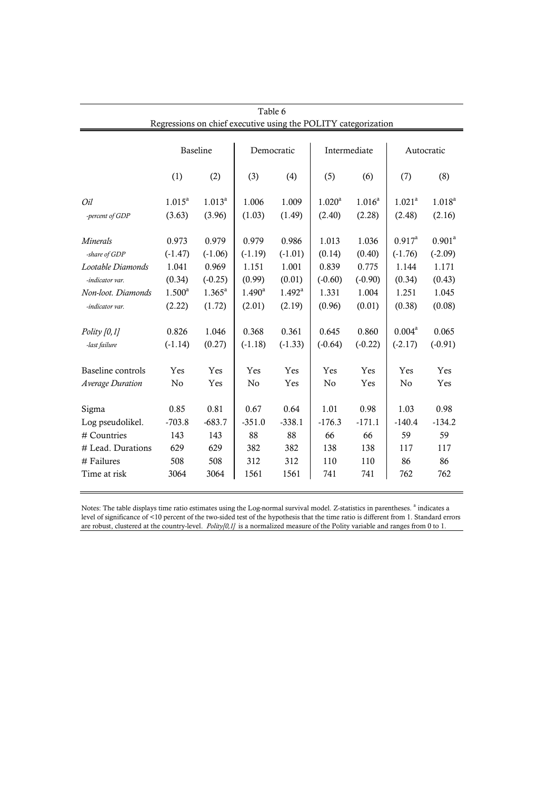|                    |                 |                 | Table 6            |                                                                |              |             |             |             |
|--------------------|-----------------|-----------------|--------------------|----------------------------------------------------------------|--------------|-------------|-------------|-------------|
|                    |                 |                 |                    | Regressions on chief executive using the POLITY categorization |              |             |             |             |
|                    | <b>Baseline</b> |                 | Democratic         |                                                                | Intermediate |             | Autocratic  |             |
|                    | (1)             | (2)             | (3)                | (4)                                                            | (5)          | (6)         | (7)         | (8)         |
| Oil                | $1.015^a$       | $1.013^a$       | 1.006              | 1.009                                                          | $1.020^a$    | $1.016^{a}$ | $1.021^{a}$ | $1.018^{a}$ |
| -percent of GDP    | (3.63)          | (3.96)          | (1.03)             | (1.49)                                                         | (2.40)       | (2.28)      | (2.48)      | (2.16)      |
| Minerals           | 0.973           | 0.979           | 0.979              | 0.986                                                          | 1.013        | 1.036       | $0.917^a$   | $0.901^a$   |
| -share of GDP      | $(-1.47)$       | $(-1.06)$       | $(-1.19)$          | $(-1.01)$                                                      | (0.14)       | (0.40)      | $(-1.76)$   | $(-2.09)$   |
| Lootable Diamonds  | 1.041           | 0.969           | 1.151              | 1.001                                                          | 0.839        | 0.775       | 1.144       | 1.171       |
| -indicator var.    | (0.34)          | $(-0.25)$       | (0.99)             | (0.01)                                                         | $(-0.60)$    | $(-0.90)$   | (0.34)      | (0.43)      |
| Non-loot. Diamonds | $1.500^a$       | $1.365^{\circ}$ | $1.490^{\text{a}}$ | $1.492^{\text{a}}$                                             | 1.331        | 1.004       | 1.251       | 1.045       |
| -indicator var.    | (2.22)          | (1.72)          | (2.01)             | (2.19)                                                         | (0.96)       | (0.01)      | (0.38)      | (0.08)      |
| Polity $[0,1]$     | 0.826           | 1.046           | 0.368              | 0.361                                                          | 0.645        | 0.860       | $0.004^a$   | 0.065       |
| -last failure      | $(-1.14)$       | (0.27)          | $(-1.18)$          | $(-1.33)$                                                      | $(-0.64)$    | $(-0.22)$   | $(-2.17)$   | $(-0.91)$   |
| Baseline controls  | Yes             | Yes             | Yes                | Yes                                                            | Yes          | Yes         | Yes         | Yes         |
| Average Duration   | No              | Yes             | No                 | Yes                                                            | No           | Yes         | No          | Yes         |
| Sigma              | 0.85            | 0.81            | 0.67               | 0.64                                                           | 1.01         | 0.98        | 1.03        | 0.98        |
| Log pseudolikel.   | $-703.8$        | $-683.7$        | $-351.0$           | $-338.1$                                                       | $-176.3$     | $-171.1$    | $-140.4$    | $-134.2$    |
| # Countries        | 143             | 143             | 88                 | 88                                                             | 66           | 66          | 59          | 59          |
| # Lead. Durations  | 629             | 629             | 382                | 382                                                            | 138          | 138         | 117         | 117         |
| # Failures         | 508             | 508             | 312                | 312                                                            | 110          | 110         | 86          | 86          |
| Time at risk       | 3064            | 3064            | 1561               | 1561                                                           | 741          | 741         | 762         | 762         |

Notes: The table displays time ratio estimates using the Log-normal survival model. Z-statistics in parentheses. <sup>a</sup> indicates a level of significance of <10 percent of the two-sided test of the hypothesis that the time ratio is different from 1. Standard errors are robust, clustered at the country-level. *Polity[0,1]* is a normalized measure of the Polity variable and ranges from 0 to 1.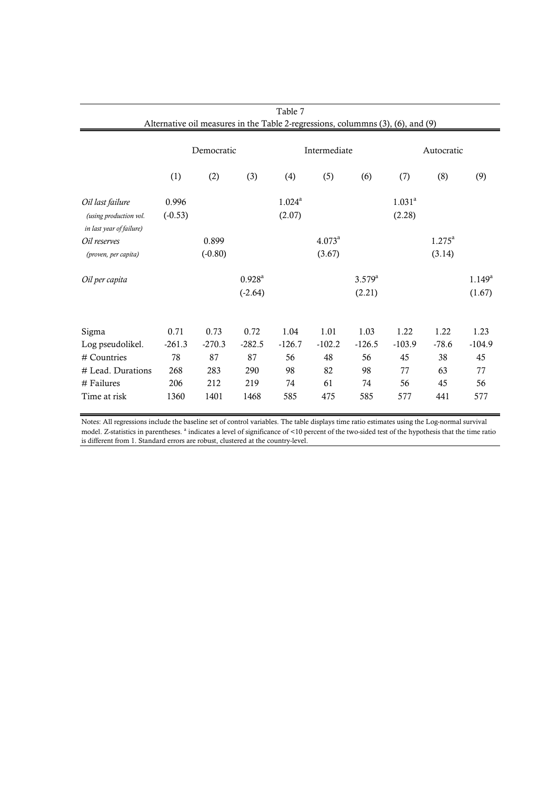|                                                    | Table 7<br>Alternative oil measures in the Table 2-regressions, columnns (3), (6), and (9) |           |                    |              |           |             |            |                    |                 |  |  |
|----------------------------------------------------|--------------------------------------------------------------------------------------------|-----------|--------------------|--------------|-----------|-------------|------------|--------------------|-----------------|--|--|
|                                                    | Democratic                                                                                 |           |                    | Intermediate |           |             | Autocratic |                    |                 |  |  |
|                                                    | (1)                                                                                        | (2)       | (3)                | (4)          | (5)       | (6)         | (7)        | (8)                | (9)             |  |  |
| Oil last failure                                   | 0.996                                                                                      |           |                    | $1.024^a$    |           |             | $1.031^a$  |                    |                 |  |  |
| (using production vol.<br>in last year of failure) | $(-0.53)$                                                                                  |           |                    | (2.07)       |           |             | (2.28)     |                    |                 |  |  |
| Oil reserves                                       |                                                                                            | 0.899     |                    |              | $4.073^a$ |             |            | $1.275^{\text{a}}$ |                 |  |  |
| (proven, per capita)                               |                                                                                            | $(-0.80)$ |                    |              | (3.67)    |             |            | (3.14)             |                 |  |  |
| Oil per capita                                     |                                                                                            |           | $0.928^{\text{a}}$ |              |           | $3.579^{a}$ |            |                    | $1.149^{\rm a}$ |  |  |
|                                                    |                                                                                            |           | $(-2.64)$          |              |           | (2.21)      |            |                    | (1.67)          |  |  |
|                                                    |                                                                                            |           |                    |              |           |             |            |                    |                 |  |  |
| Sigma                                              | 0.71                                                                                       | 0.73      | 0.72               | 1.04         | 1.01      | 1.03        | 1.22       | 1.22               | 1.23            |  |  |
| Log pseudolikel.                                   | $-261.3$                                                                                   | $-270.3$  | $-282.5$           | $-126.7$     | $-102.2$  | $-126.5$    | $-103.9$   | $-78.6$            | $-104.9$        |  |  |
| # Countries                                        | 78                                                                                         | 87        | 87                 | 56           | 48        | 56          | 45         | 38                 | 45              |  |  |
| # Lead. Durations                                  | 268                                                                                        | 283       | 290                | 98           | 82        | 98          | 77         | 63                 | 77              |  |  |
| # Failures                                         | 206                                                                                        | 212       | 219                | 74           | 61        | 74          | 56         | 45                 | 56              |  |  |
| Time at risk                                       | 1360                                                                                       | 1401      | 1468               | 585          | 475       | 585         | 577        | 441                | 577             |  |  |

Notes: All regressions include the baseline set of control variables. The table displays time ratio estimates using the Log-normal survival model. Z-statistics in parentheses. <sup>a</sup> indicates a level of significance of <10 percent of the two-sided test of the hypothesis that the time ratio is different from 1. Standard errors are robust, clustered at the country-level.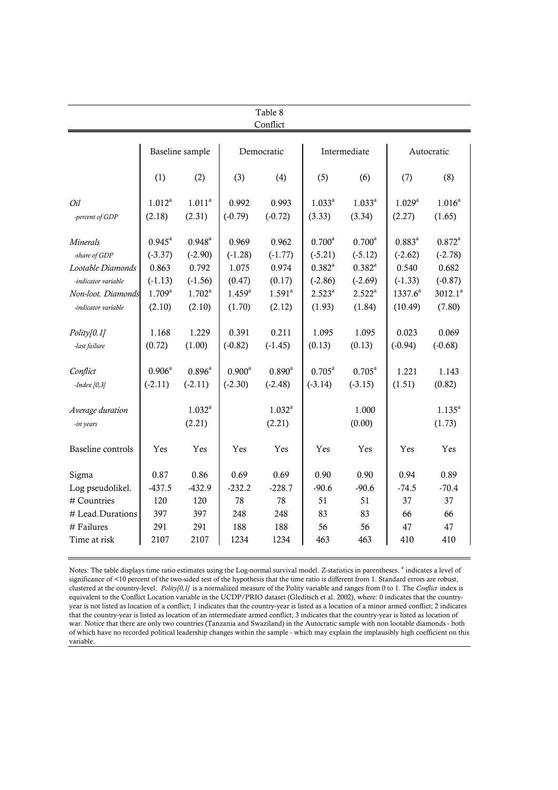|                                                                                                                           | Table 8<br>Conflict                                                            |                                                                       |                                                                |                                                              |                                                                             |                                                                           |                                                                         |                                                                      |  |  |  |
|---------------------------------------------------------------------------------------------------------------------------|--------------------------------------------------------------------------------|-----------------------------------------------------------------------|----------------------------------------------------------------|--------------------------------------------------------------|-----------------------------------------------------------------------------|---------------------------------------------------------------------------|-------------------------------------------------------------------------|----------------------------------------------------------------------|--|--|--|
|                                                                                                                           |                                                                                | Baseline sample                                                       |                                                                | Democratic                                                   |                                                                             | Intermediate                                                              |                                                                         | Autocratic                                                           |  |  |  |
|                                                                                                                           | (1)                                                                            | (2)                                                                   | (3)                                                            | (4)                                                          | (5)                                                                         | (6)                                                                       | (7)                                                                     | (8)                                                                  |  |  |  |
| Oil<br>-percent of GDP                                                                                                    | $1.012^a$<br>(2.18)                                                            | $1.011^a$<br>(2.31)                                                   | 0.992<br>$(-0.79)$                                             | 0.993<br>$(-0.72)$                                           | $1.033^{a}$<br>(3.33)                                                       | $1.033^{a}$<br>(3.34)                                                     | $1.029^{a}$<br>(2.27)                                                   | $1.016^{a}$<br>(1.65)                                                |  |  |  |
| <i>Minerals</i><br>-share of GDP<br>Lootable Diamonds<br>-indicator variable<br>Non-loot. Diamonds<br>-indicator variable | $0.945^{\text{a}}$<br>$(-3.37)$<br>0.863<br>$(-1.13)$<br>$1.709^{a}$<br>(2.10) | $0.948^{a}$<br>$(-2.90)$<br>0.792<br>$(-1.56)$<br>$1.702^a$<br>(2.10) | 0.969<br>$(-1.28)$<br>1.075<br>(0.47)<br>$1.459^{a}$<br>(1.70) | 0.962<br>$(-1.77)$<br>0.974<br>(0.17)<br>$1.591^a$<br>(2.12) | $0.700^a$<br>$(-5.21)$<br>$0.382^{a}$<br>$(-2.86)$<br>$2.523^{a}$<br>(1.93) | $0.700^a$<br>$(-5.12)$<br>$0.382^{a}$<br>$(-2.69)$<br>$2.522^a$<br>(1.84) | $0.883^{a}$<br>$(-2.62)$<br>0.540<br>$(-1.33)$<br>$1337.6^a$<br>(10.49) | $0.872^a$<br>$(-2.78)$<br>0.682<br>$(-0.87)$<br>$3012.1^a$<br>(7.80) |  |  |  |
| Polity[0.1]<br>-last failure                                                                                              | 1.168<br>(0.72)                                                                | 1.229<br>(1.00)                                                       | 0.391<br>$(-0.82)$                                             | 0.211<br>$(-1.45)$                                           | 1.095<br>(0.13)                                                             | 1.095<br>(0.13)                                                           | 0.023<br>$(-0.94)$                                                      | 0.069<br>$(-0.68)$                                                   |  |  |  |
| Conflict<br>$-Index[0,3]$                                                                                                 | $0.906^{a}$<br>$(-2.11)$                                                       | $0.896^{a}$<br>$(-2.11)$                                              | $0.900^a$<br>$(-2.30)$                                         | $0.890^{\text{a}}$<br>$(-2.48)$                              | $0.705^{\text{a}}$<br>$(-3.14)$                                             | $0.705^a$<br>$(-3.15)$                                                    | 1.221<br>(1.51)                                                         | 1.143<br>(0.82)                                                      |  |  |  |
| Average duration<br>-in years                                                                                             |                                                                                | $1.032^{a}$<br>(2.21)                                                 |                                                                | $1.032^{a}$<br>(2.21)                                        |                                                                             | 1.000<br>(0.00)                                                           |                                                                         | $1.135^{a}$<br>(1.73)                                                |  |  |  |
| <b>Baseline</b> controls                                                                                                  | Yes                                                                            | Yes                                                                   | Yes                                                            | Yes                                                          | Yes                                                                         | Yes                                                                       | Yes                                                                     | Yes                                                                  |  |  |  |
| Sigma<br>Log pseudolikel.<br># Countries<br># Lead.Durations<br># Failures                                                | 0.87<br>$-437.5$<br>120<br>397<br>291                                          | 0.86<br>$-432.9$<br>120<br>397<br>291                                 | 0.69<br>$-232.2$<br>78<br>248<br>188                           | 0.69<br>$-228.7$<br>78<br>248<br>188                         | 0.90<br>$-90.6$<br>51<br>83<br>56                                           | 0.90<br>$-90.6$<br>51<br>83<br>56                                         | 0.94<br>$-74.5$<br>37<br>66<br>47                                       | 0.89<br>$-70.4$<br>37<br>66<br>47                                    |  |  |  |
| Time at risk                                                                                                              | 2107                                                                           | 2107                                                                  | 1234                                                           | 1234                                                         | 463                                                                         | 463                                                                       | 410                                                                     | 410                                                                  |  |  |  |

Notes: The table displays time ratio estimates using the Log-normal survival model. Z-statistics in parentheses. <sup>a</sup> indicates a level of significance of <10 percent of the two-sided test of the hypothesis that the time ratio is different from 1. Standard errors are robust, clustered at the country-level. *Polity[0,1]* is a normalized measure of the Polity variable and ranges from 0 to 1. The *Conflict* index is equivalent to the Conflict Location variable in the UCDP/PRIO dataset (Gleditsch et al. 2002), where: 0 indicates that the countryyear is not listed as location of a conflict; 1 indicates that the country-year is listed as a location of a minor armed conflict; 2 indicates that the country-year is listed as location of an intermediate armed conflict; 3 indicates that the country-year is listed as location of war. Notice that there are only two countries (Tanzania and Swaziland) in the Autocratic sample with non lootable diamonds - both of which have no recorded political leadership changes within the sample - which may explain the implausibly high coefficient on this variable.